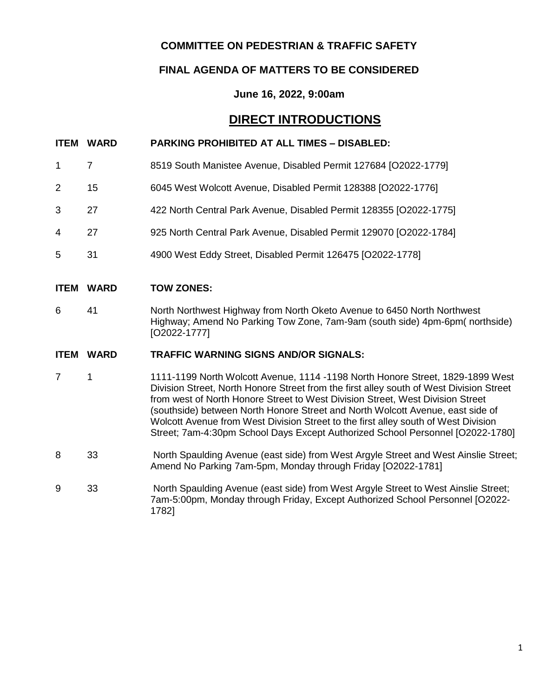# **COMMITTEE ON PEDESTRIAN & TRAFFIC SAFETY**

# **FINAL AGENDA OF MATTERS TO BE CONSIDERED**

# **June 16, 2022, 9:00am**

# **DIRECT INTRODUCTIONS**

### **ITEM WARD PARKING PROHIBITED AT ALL TIMES – DISABLED:**

- 1 7 8519 South Manistee Avenue, Disabled Permit 127684 [O2022-1779]
- 2 15 6045 West Wolcott Avenue, Disabled Permit 128388 [O2022-1776]
- 3 27 422 North Central Park Avenue, Disabled Permit 128355 [O2022-1775]
- 4 27 925 North Central Park Avenue, Disabled Permit 129070 [O2022-1784]
- 5 31 4900 West Eddy Street, Disabled Permit 126475 [O2022-1778]

#### **ITEM WARD TOW ZONES:**

6 41 North Northwest Highway from North Oketo Avenue to 6450 North Northwest Highway; Amend No Parking Tow Zone, 7am-9am (south side) 4pm-6pm( northside) [O2022-1777]

#### **ITEM WARD TRAFFIC WARNING SIGNS AND/OR SIGNALS:**

- 7 1 1111-1199 North Wolcott Avenue, 1114 -1198 North Honore Street, 1829-1899 West Division Street, North Honore Street from the first alley south of West Division Street from west of North Honore Street to West Division Street, West Division Street (southside) between North Honore Street and North Wolcott Avenue, east side of Wolcott Avenue from West Division Street to the first alley south of West Division Street; 7am-4:30pm School Days Except Authorized School Personnel [O2022-1780]
- 8 33 North Spaulding Avenue (east side) from West Argyle Street and West Ainslie Street; Amend No Parking 7am-5pm, Monday through Friday [O2022-1781]
- 9 33 North Spaulding Avenue (east side) from West Argyle Street to West Ainslie Street; 7am-5:00pm, Monday through Friday, Except Authorized School Personnel [O2022- 1782]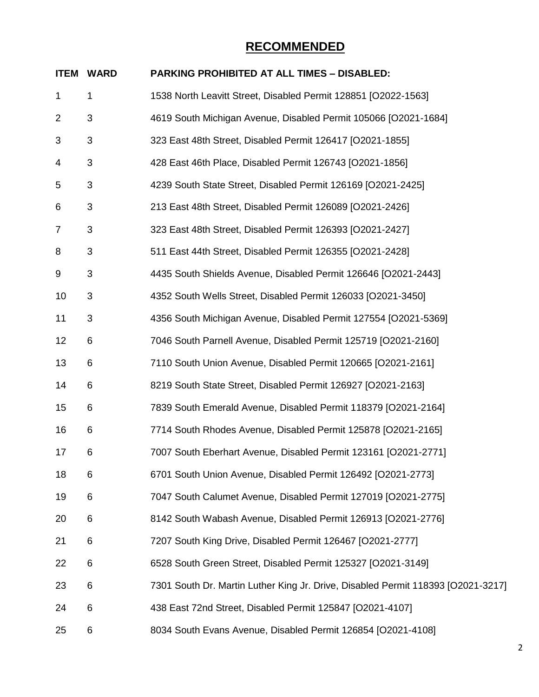| <b>ITEM</b>    | <b>WARD</b> | <b>PARKING PROHIBITED AT ALL TIMES - DISABLED:</b>                               |
|----------------|-------------|----------------------------------------------------------------------------------|
| $\mathbf 1$    | 1           | 1538 North Leavitt Street, Disabled Permit 128851 [O2022-1563]                   |
| 2              | 3           | 4619 South Michigan Avenue, Disabled Permit 105066 [O2021-1684]                  |
| 3              | 3           | 323 East 48th Street, Disabled Permit 126417 [O2021-1855]                        |
| 4              | 3           | 428 East 46th Place, Disabled Permit 126743 [O2021-1856]                         |
| 5              | 3           | 4239 South State Street, Disabled Permit 126169 [O2021-2425]                     |
| 6              | $\sqrt{3}$  | 213 East 48th Street, Disabled Permit 126089 [O2021-2426]                        |
| $\overline{7}$ | 3           | 323 East 48th Street, Disabled Permit 126393 [O2021-2427]                        |
| 8              | 3           | 511 East 44th Street, Disabled Permit 126355 [O2021-2428]                        |
| 9              | 3           | 4435 South Shields Avenue, Disabled Permit 126646 [O2021-2443]                   |
| 10             | 3           | 4352 South Wells Street, Disabled Permit 126033 [O2021-3450]                     |
| 11             | 3           | 4356 South Michigan Avenue, Disabled Permit 127554 [O2021-5369]                  |
| 12             | 6           | 7046 South Parnell Avenue, Disabled Permit 125719 [O2021-2160]                   |
| 13             | 6           | 7110 South Union Avenue, Disabled Permit 120665 [O2021-2161]                     |
| 14             | 6           | 8219 South State Street, Disabled Permit 126927 [O2021-2163]                     |
| 15             | 6           | 7839 South Emerald Avenue, Disabled Permit 118379 [O2021-2164]                   |
| 16             | 6           | 7714 South Rhodes Avenue, Disabled Permit 125878 [O2021-2165]                    |
| 17             | 6           | 7007 South Eberhart Avenue, Disabled Permit 123161 [O2021-2771]                  |
| 18             | 6           | 6701 South Union Avenue, Disabled Permit 126492 [O2021-2773]                     |
| 19             | 6           | 7047 South Calumet Avenue, Disabled Permit 127019 [O2021-2775]                   |
| 20             | 6           | 8142 South Wabash Avenue, Disabled Permit 126913 [O2021-2776]                    |
| 21             | 6           | 7207 South King Drive, Disabled Permit 126467 [O2021-2777]                       |
| 22             | 6           | 6528 South Green Street, Disabled Permit 125327 [O2021-3149]                     |
| 23             | 6           | 7301 South Dr. Martin Luther King Jr. Drive, Disabled Permit 118393 [O2021-3217] |
| 24             | 6           | 438 East 72nd Street, Disabled Permit 125847 [O2021-4107]                        |
| 25             | 6           | 8034 South Evans Avenue, Disabled Permit 126854 [O2021-4108]                     |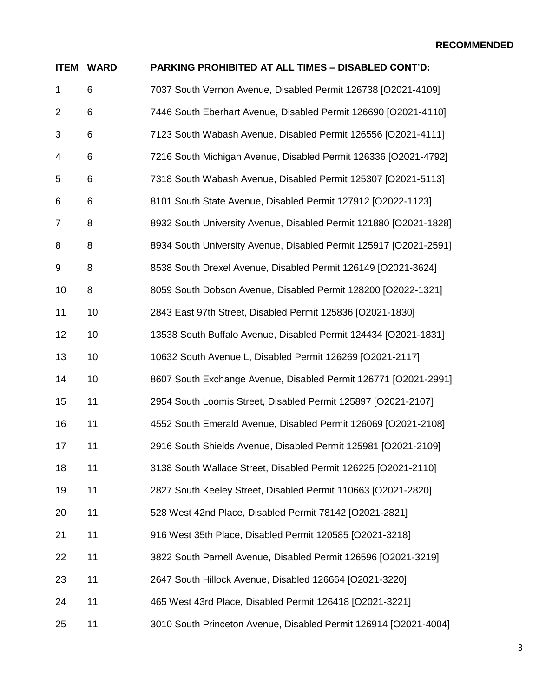| <b>ITEM</b>    | <b>WARD</b> | PARKING PROHIBITED AT ALL TIMES - DISABLED CONT'D:                |
|----------------|-------------|-------------------------------------------------------------------|
| $\mathbf{1}$   | 6           | 7037 South Vernon Avenue, Disabled Permit 126738 [O2021-4109]     |
| $\overline{2}$ | 6           | 7446 South Eberhart Avenue, Disabled Permit 126690 [O2021-4110]   |
| 3              | 6           | 7123 South Wabash Avenue, Disabled Permit 126556 [O2021-4111]     |
| 4              | 6           | 7216 South Michigan Avenue, Disabled Permit 126336 [O2021-4792]   |
| 5              | 6           | 7318 South Wabash Avenue, Disabled Permit 125307 [O2021-5113]     |
| 6              | 6           | 8101 South State Avenue, Disabled Permit 127912 [O2022-1123]      |
| 7              | 8           | 8932 South University Avenue, Disabled Permit 121880 [O2021-1828] |
| 8              | 8           | 8934 South University Avenue, Disabled Permit 125917 [O2021-2591] |
| 9              | 8           | 8538 South Drexel Avenue, Disabled Permit 126149 [O2021-3624]     |
| 10             | 8           | 8059 South Dobson Avenue, Disabled Permit 128200 [O2022-1321]     |
| 11             | 10          | 2843 East 97th Street, Disabled Permit 125836 [O2021-1830]        |
| 12             | 10          | 13538 South Buffalo Avenue, Disabled Permit 124434 [O2021-1831]   |
| 13             | 10          | 10632 South Avenue L, Disabled Permit 126269 [O2021-2117]         |
| 14             | 10          | 8607 South Exchange Avenue, Disabled Permit 126771 [O2021-2991]   |
| 15             | 11          | 2954 South Loomis Street, Disabled Permit 125897 [O2021-2107]     |
| 16             | 11          | 4552 South Emerald Avenue, Disabled Permit 126069 [O2021-2108]    |
| 17             | 11          | 2916 South Shields Avenue, Disabled Permit 125981 [O2021-2109]    |
| 18             | 11          | 3138 South Wallace Street, Disabled Permit 126225 [O2021-2110]    |
| 19             | 11          | 2827 South Keeley Street, Disabled Permit 110663 [O2021-2820]     |
| 20             | 11          | 528 West 42nd Place, Disabled Permit 78142 [O2021-2821]           |
| 21             | 11          | 916 West 35th Place, Disabled Permit 120585 [O2021-3218]          |
| 22             | 11          | 3822 South Parnell Avenue, Disabled Permit 126596 [O2021-3219]    |
| 23             | 11          | 2647 South Hillock Avenue, Disabled 126664 [O2021-3220]           |
| 24             | 11          | 465 West 43rd Place, Disabled Permit 126418 [O2021-3221]          |
| 25             | 11          | 3010 South Princeton Avenue, Disabled Permit 126914 [O2021-4004]  |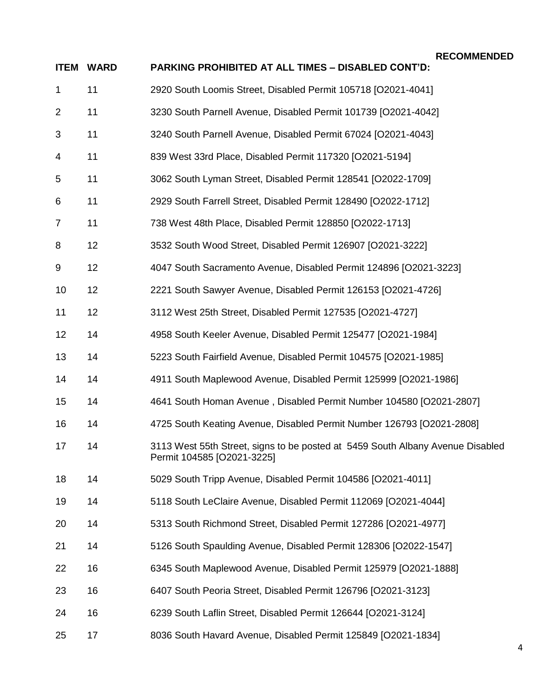```
RECOMMENDED
```

| <b>ITEM</b>    | <b>WARD</b> | PARKING PROHIBITED AT ALL TIMES - DISABLED CONT'D:                                                           |
|----------------|-------------|--------------------------------------------------------------------------------------------------------------|
| 1              | 11          | 2920 South Loomis Street, Disabled Permit 105718 [O2021-4041]                                                |
| $\overline{2}$ | 11          | 3230 South Parnell Avenue, Disabled Permit 101739 [O2021-4042]                                               |
| 3              | 11          | 3240 South Parnell Avenue, Disabled Permit 67024 [O2021-4043]                                                |
| 4              | 11          | 839 West 33rd Place, Disabled Permit 117320 [O2021-5194]                                                     |
| 5              | 11          | 3062 South Lyman Street, Disabled Permit 128541 [O2022-1709]                                                 |
| 6              | 11          | 2929 South Farrell Street, Disabled Permit 128490 [O2022-1712]                                               |
| $\overline{7}$ | 11          | 738 West 48th Place, Disabled Permit 128850 [O2022-1713]                                                     |
| 8              | 12          | 3532 South Wood Street, Disabled Permit 126907 [O2021-3222]                                                  |
| 9              | 12          | 4047 South Sacramento Avenue, Disabled Permit 124896 [O2021-3223]                                            |
| 10             | 12          | 2221 South Sawyer Avenue, Disabled Permit 126153 [O2021-4726]                                                |
| 11             | 12          | 3112 West 25th Street, Disabled Permit 127535 [O2021-4727]                                                   |
| 12             | 14          | 4958 South Keeler Avenue, Disabled Permit 125477 [O2021-1984]                                                |
| 13             | 14          | 5223 South Fairfield Avenue, Disabled Permit 104575 [O2021-1985]                                             |
| 14             | 14          | 4911 South Maplewood Avenue, Disabled Permit 125999 [O2021-1986]                                             |
| 15             | 14          | 4641 South Homan Avenue, Disabled Permit Number 104580 [O2021-2807]                                          |
| 16             | 14          | 4725 South Keating Avenue, Disabled Permit Number 126793 [O2021-2808]                                        |
| 17             | 14          | 3113 West 55th Street, signs to be posted at 5459 South Albany Avenue Disabled<br>Permit 104585 [O2021-3225] |
| 18             | 14          | 5029 South Tripp Avenue, Disabled Permit 104586 [O2021-4011]                                                 |
| 19             | 14          | 5118 South LeClaire Avenue, Disabled Permit 112069 [O2021-4044]                                              |
| 20             | 14          | 5313 South Richmond Street, Disabled Permit 127286 [O2021-4977]                                              |
| 21             | 14          | 5126 South Spaulding Avenue, Disabled Permit 128306 [O2022-1547]                                             |
| 22             | 16          | 6345 South Maplewood Avenue, Disabled Permit 125979 [O2021-1888]                                             |
| 23             | 16          | 6407 South Peoria Street, Disabled Permit 126796 [O2021-3123]                                                |
| 24             | 16          | 6239 South Laflin Street, Disabled Permit 126644 [O2021-3124]                                                |
| 25             | 17          | 8036 South Havard Avenue, Disabled Permit 125849 [O2021-1834]                                                |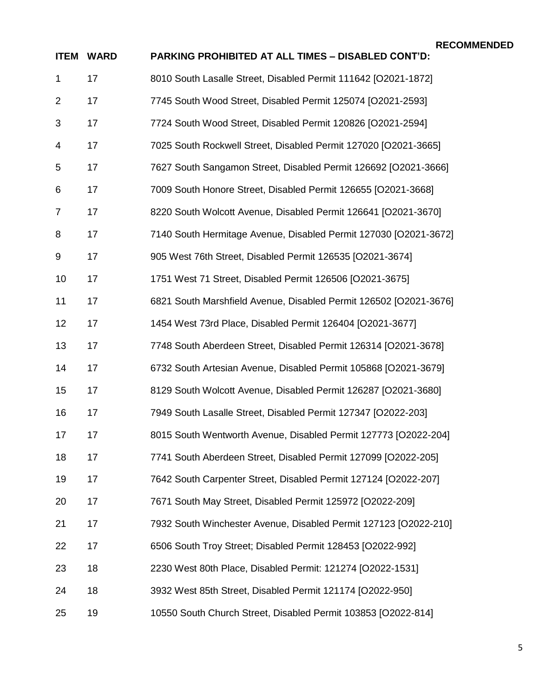| <b>ITEM</b>    | <b>WARD</b> | PARKING PROHIBITED AT ALL TIMES - DISABLED CONT'D:                |
|----------------|-------------|-------------------------------------------------------------------|
| $\mathbf{1}$   | 17          | 8010 South Lasalle Street, Disabled Permit 111642 [O2021-1872]    |
| $\overline{2}$ | 17          | 7745 South Wood Street, Disabled Permit 125074 [O2021-2593]       |
| 3              | 17          | 7724 South Wood Street, Disabled Permit 120826 [O2021-2594]       |
| 4              | 17          | 7025 South Rockwell Street, Disabled Permit 127020 [O2021-3665]   |
| 5              | 17          | 7627 South Sangamon Street, Disabled Permit 126692 [O2021-3666]   |
| 6              | 17          | 7009 South Honore Street, Disabled Permit 126655 [O2021-3668]     |
| 7              | 17          | 8220 South Wolcott Avenue, Disabled Permit 126641 [O2021-3670]    |
| 8              | 17          | 7140 South Hermitage Avenue, Disabled Permit 127030 [O2021-3672]  |
| 9              | 17          | 905 West 76th Street, Disabled Permit 126535 [O2021-3674]         |
| 10             | 17          | 1751 West 71 Street, Disabled Permit 126506 [O2021-3675]          |
| 11             | 17          | 6821 South Marshfield Avenue, Disabled Permit 126502 [O2021-3676] |
| 12             | 17          | 1454 West 73rd Place, Disabled Permit 126404 [O2021-3677]         |
| 13             | 17          | 7748 South Aberdeen Street, Disabled Permit 126314 [O2021-3678]   |
| 14             | 17          | 6732 South Artesian Avenue, Disabled Permit 105868 [O2021-3679]   |
| 15             | 17          | 8129 South Wolcott Avenue, Disabled Permit 126287 [O2021-3680]    |
| 16             | 17          | 7949 South Lasalle Street, Disabled Permit 127347 [O2022-203]     |
| 17             | 17          | 8015 South Wentworth Avenue, Disabled Permit 127773 [O2022-204]   |
| 18             | 17          | 7741 South Aberdeen Street, Disabled Permit 127099 [O2022-205]    |
| 19             | 17          | 7642 South Carpenter Street, Disabled Permit 127124 [O2022-207]   |
| 20             | 17          | 7671 South May Street, Disabled Permit 125972 [O2022-209]         |
| 21             | 17          | 7932 South Winchester Avenue, Disabled Permit 127123 [O2022-210]  |
| 22             | 17          | 6506 South Troy Street; Disabled Permit 128453 [O2022-992]        |
| 23             | 18          | 2230 West 80th Place, Disabled Permit: 121274 [O2022-1531]        |
| 24             | 18          | 3932 West 85th Street, Disabled Permit 121174 [O2022-950]         |
| 25             | 19          | 10550 South Church Street, Disabled Permit 103853 [O2022-814]     |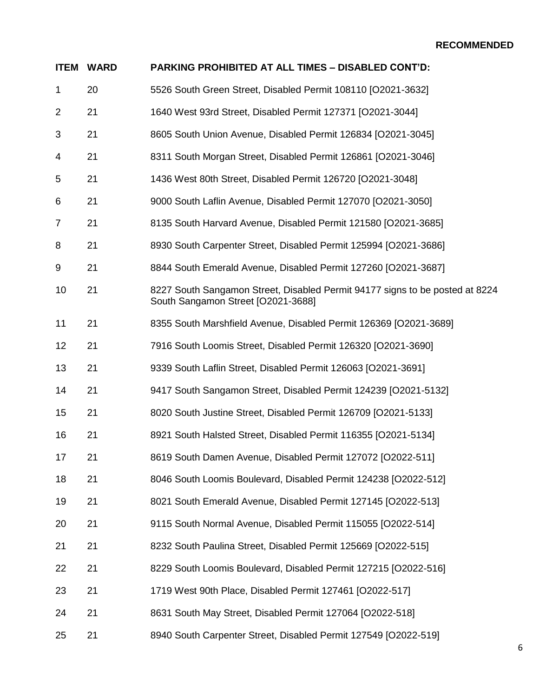|                | <b>ITEM WARD</b> | PARKING PROHIBITED AT ALL TIMES - DISABLED CONT'D:                                                                 |
|----------------|------------------|--------------------------------------------------------------------------------------------------------------------|
| $\mathbf{1}$   | 20               | 5526 South Green Street, Disabled Permit 108110 [O2021-3632]                                                       |
| 2              | 21               | 1640 West 93rd Street, Disabled Permit 127371 [O2021-3044]                                                         |
| 3              | 21               | 8605 South Union Avenue, Disabled Permit 126834 [O2021-3045]                                                       |
| 4              | 21               | 8311 South Morgan Street, Disabled Permit 126861 [O2021-3046]                                                      |
| 5              | 21               | 1436 West 80th Street, Disabled Permit 126720 [O2021-3048]                                                         |
| 6              | 21               | 9000 South Laflin Avenue, Disabled Permit 127070 [O2021-3050]                                                      |
| $\overline{7}$ | 21               | 8135 South Harvard Avenue, Disabled Permit 121580 [O2021-3685]                                                     |
| 8              | 21               | 8930 South Carpenter Street, Disabled Permit 125994 [O2021-3686]                                                   |
| 9              | 21               | 8844 South Emerald Avenue, Disabled Permit 127260 [O2021-3687]                                                     |
| 10             | 21               | 8227 South Sangamon Street, Disabled Permit 94177 signs to be posted at 8224<br>South Sangamon Street [O2021-3688] |
| 11             | 21               | 8355 South Marshfield Avenue, Disabled Permit 126369 [O2021-3689]                                                  |
| 12             | 21               | 7916 South Loomis Street, Disabled Permit 126320 [O2021-3690]                                                      |
| 13             | 21               | 9339 South Laflin Street, Disabled Permit 126063 [O2021-3691]                                                      |
| 14             | 21               | 9417 South Sangamon Street, Disabled Permit 124239 [O2021-5132]                                                    |
| 15             | 21               | 8020 South Justine Street, Disabled Permit 126709 [O2021-5133]                                                     |
| 16             | 21               | 8921 South Halsted Street, Disabled Permit 116355 [O2021-5134]                                                     |
| 17             | 21               | 8619 South Damen Avenue, Disabled Permit 127072 [O2022-511]                                                        |
| 18             | 21               | 8046 South Loomis Boulevard, Disabled Permit 124238 [O2022-512]                                                    |
| 19             | 21               | 8021 South Emerald Avenue, Disabled Permit 127145 [O2022-513]                                                      |
| 20             | 21               | 9115 South Normal Avenue, Disabled Permit 115055 [O2022-514]                                                       |
| 21             | 21               | 8232 South Paulina Street, Disabled Permit 125669 [O2022-515]                                                      |
| 22             | 21               | 8229 South Loomis Boulevard, Disabled Permit 127215 [O2022-516]                                                    |
| 23             | 21               | 1719 West 90th Place, Disabled Permit 127461 [O2022-517]                                                           |
| 24             | 21               | 8631 South May Street, Disabled Permit 127064 [O2022-518]                                                          |
| 25             | 21               | 8940 South Carpenter Street, Disabled Permit 127549 [O2022-519]                                                    |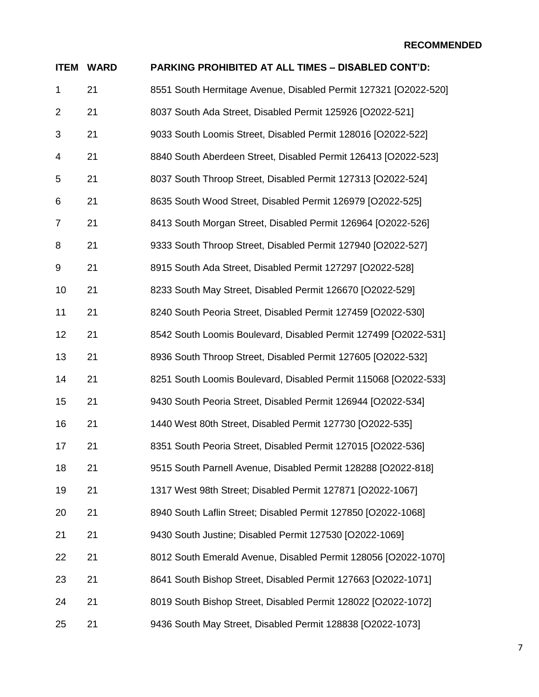| <b>ITEM</b>    | <b>WARD</b> | <b>PARKING PROHIBITED AT ALL TIMES - DISABLED CONT'D:</b>       |
|----------------|-------------|-----------------------------------------------------------------|
| $\mathbf{1}$   | 21          | 8551 South Hermitage Avenue, Disabled Permit 127321 [O2022-520] |
| $\overline{2}$ | 21          | 8037 South Ada Street, Disabled Permit 125926 [O2022-521]       |
| 3              | 21          | 9033 South Loomis Street, Disabled Permit 128016 [O2022-522]    |
| 4              | 21          | 8840 South Aberdeen Street, Disabled Permit 126413 [O2022-523]  |
| 5              | 21          | 8037 South Throop Street, Disabled Permit 127313 [O2022-524]    |
| 6              | 21          | 8635 South Wood Street, Disabled Permit 126979 [O2022-525]      |
| 7              | 21          | 8413 South Morgan Street, Disabled Permit 126964 [O2022-526]    |
| 8              | 21          | 9333 South Throop Street, Disabled Permit 127940 [O2022-527]    |
| 9              | 21          | 8915 South Ada Street, Disabled Permit 127297 [O2022-528]       |
| 10             | 21          | 8233 South May Street, Disabled Permit 126670 [O2022-529]       |
| 11             | 21          | 8240 South Peoria Street, Disabled Permit 127459 [O2022-530]    |
| 12             | 21          | 8542 South Loomis Boulevard, Disabled Permit 127499 [O2022-531] |
| 13             | 21          | 8936 South Throop Street, Disabled Permit 127605 [O2022-532]    |
| 14             | 21          | 8251 South Loomis Boulevard, Disabled Permit 115068 [O2022-533] |
| 15             | 21          | 9430 South Peoria Street, Disabled Permit 126944 [O2022-534]    |
| 16             | 21          | 1440 West 80th Street, Disabled Permit 127730 [O2022-535]       |
| 17             | 21          | 8351 South Peoria Street, Disabled Permit 127015 [O2022-536]    |
| 18             | 21          | 9515 South Parnell Avenue, Disabled Permit 128288 [O2022-818]   |
| 19             | 21          | 1317 West 98th Street; Disabled Permit 127871 [O2022-1067]      |
| 20             | 21          | 8940 South Laflin Street; Disabled Permit 127850 [O2022-1068]   |
| 21             | 21          | 9430 South Justine; Disabled Permit 127530 [O2022-1069]         |
| 22             | 21          | 8012 South Emerald Avenue, Disabled Permit 128056 [O2022-1070]  |
| 23             | 21          | 8641 South Bishop Street, Disabled Permit 127663 [O2022-1071]   |
| 24             | 21          | 8019 South Bishop Street, Disabled Permit 128022 [O2022-1072]   |
| 25             | 21          | 9436 South May Street, Disabled Permit 128838 [O2022-1073]      |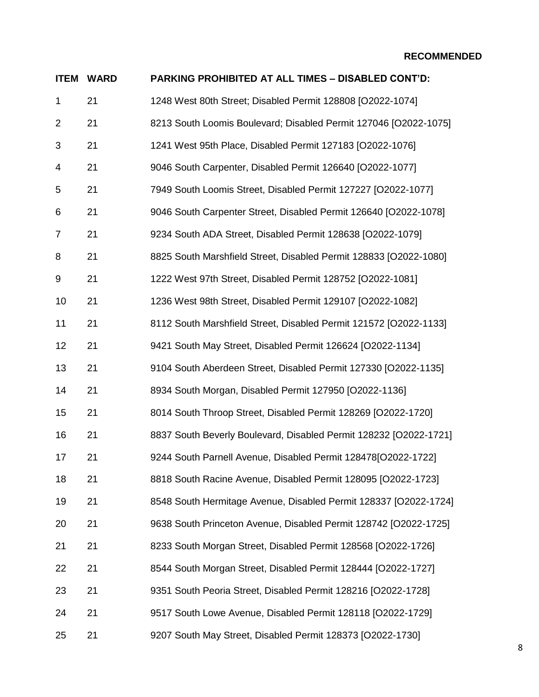| <b>ITEM</b>    | <b>WARD</b> | <b>PARKING PROHIBITED AT ALL TIMES - DISABLED CONT'D:</b>         |
|----------------|-------------|-------------------------------------------------------------------|
| $\mathbf{1}$   | 21          | 1248 West 80th Street; Disabled Permit 128808 [O2022-1074]        |
| $\overline{2}$ | 21          | 8213 South Loomis Boulevard; Disabled Permit 127046 [O2022-1075]  |
| 3              | 21          | 1241 West 95th Place, Disabled Permit 127183 [O2022-1076]         |
| 4              | 21          | 9046 South Carpenter, Disabled Permit 126640 [O2022-1077]         |
| 5              | 21          | 7949 South Loomis Street, Disabled Permit 127227 [O2022-1077]     |
| 6              | 21          | 9046 South Carpenter Street, Disabled Permit 126640 [O2022-1078]  |
| $\overline{7}$ | 21          | 9234 South ADA Street, Disabled Permit 128638 [O2022-1079]        |
| 8              | 21          | 8825 South Marshfield Street, Disabled Permit 128833 [O2022-1080] |
| 9              | 21          | 1222 West 97th Street, Disabled Permit 128752 [O2022-1081]        |
| 10             | 21          | 1236 West 98th Street, Disabled Permit 129107 [O2022-1082]        |
| 11             | 21          | 8112 South Marshfield Street, Disabled Permit 121572 [O2022-1133] |
| 12             | 21          | 9421 South May Street, Disabled Permit 126624 [O2022-1134]        |
| 13             | 21          | 9104 South Aberdeen Street, Disabled Permit 127330 [O2022-1135]   |
| 14             | 21          | 8934 South Morgan, Disabled Permit 127950 [O2022-1136]            |
| 15             | 21          | 8014 South Throop Street, Disabled Permit 128269 [O2022-1720]     |
| 16             | 21          | 8837 South Beverly Boulevard, Disabled Permit 128232 [O2022-1721] |
| 17             | 21          | 9244 South Parnell Avenue, Disabled Permit 128478[O2022-1722]     |
| 18             | 21          | 8818 South Racine Avenue, Disabled Permit 128095 [O2022-1723]     |
| 19             | 21          | 8548 South Hermitage Avenue, Disabled Permit 128337 [O2022-1724]  |
| 20             | 21          | 9638 South Princeton Avenue, Disabled Permit 128742 [O2022-1725]  |
| 21             | 21          | 8233 South Morgan Street, Disabled Permit 128568 [O2022-1726]     |
| 22             | 21          | 8544 South Morgan Street, Disabled Permit 128444 [O2022-1727]     |
| 23             | 21          | 9351 South Peoria Street, Disabled Permit 128216 [O2022-1728]     |
| 24             | 21          | 9517 South Lowe Avenue, Disabled Permit 128118 [O2022-1729]       |
| 25             | 21          | 9207 South May Street, Disabled Permit 128373 [O2022-1730]        |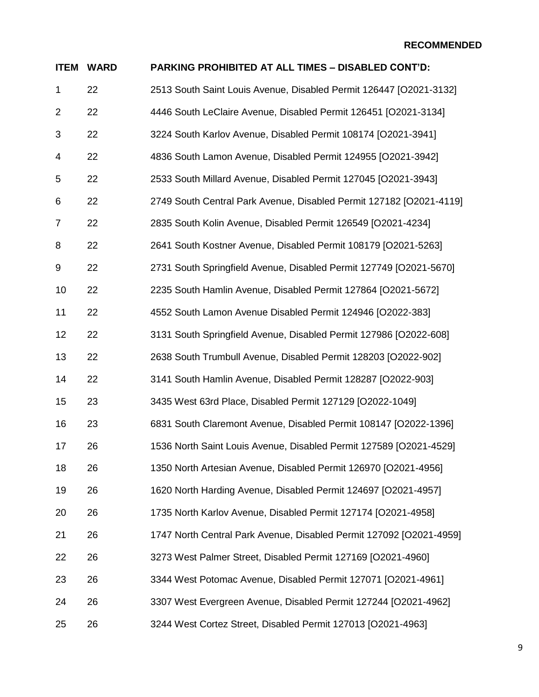| <b>ITEM</b>    | <b>WARD</b> | PARKING PROHIBITED AT ALL TIMES - DISABLED CONT'D:                  |
|----------------|-------------|---------------------------------------------------------------------|
| $\mathbf{1}$   | 22          | 2513 South Saint Louis Avenue, Disabled Permit 126447 [O2021-3132]  |
| $\overline{2}$ | 22          | 4446 South LeClaire Avenue, Disabled Permit 126451 [O2021-3134]     |
| 3              | 22          | 3224 South Karlov Avenue, Disabled Permit 108174 [O2021-3941]       |
| 4              | 22          | 4836 South Lamon Avenue, Disabled Permit 124955 [O2021-3942]        |
| 5              | 22          | 2533 South Millard Avenue, Disabled Permit 127045 [O2021-3943]      |
| 6              | 22          | 2749 South Central Park Avenue, Disabled Permit 127182 [O2021-4119] |
| 7              | 22          | 2835 South Kolin Avenue, Disabled Permit 126549 [O2021-4234]        |
| 8              | 22          | 2641 South Kostner Avenue, Disabled Permit 108179 [O2021-5263]      |
| 9              | 22          | 2731 South Springfield Avenue, Disabled Permit 127749 [O2021-5670]  |
| 10             | 22          | 2235 South Hamlin Avenue, Disabled Permit 127864 [O2021-5672]       |
| 11             | 22          | 4552 South Lamon Avenue Disabled Permit 124946 [O2022-383]          |
| 12             | 22          | 3131 South Springfield Avenue, Disabled Permit 127986 [O2022-608]   |
| 13             | 22          | 2638 South Trumbull Avenue, Disabled Permit 128203 [O2022-902]      |
| 14             | 22          | 3141 South Hamlin Avenue, Disabled Permit 128287 [O2022-903]        |
| 15             | 23          | 3435 West 63rd Place, Disabled Permit 127129 [O2022-1049]           |
| 16             | 23          | 6831 South Claremont Avenue, Disabled Permit 108147 [O2022-1396]    |
| 17             | 26          | 1536 North Saint Louis Avenue, Disabled Permit 127589 [O2021-4529]  |
| 18             | 26          | 1350 North Artesian Avenue, Disabled Permit 126970 [O2021-4956]     |
| 19             | 26          | 1620 North Harding Avenue, Disabled Permit 124697 [O2021-4957]      |
| 20             | 26          | 1735 North Karlov Avenue, Disabled Permit 127174 [O2021-4958]       |
| 21             | 26          | 1747 North Central Park Avenue, Disabled Permit 127092 [O2021-4959] |
| 22             | 26          | 3273 West Palmer Street, Disabled Permit 127169 [O2021-4960]        |
| 23             | 26          | 3344 West Potomac Avenue, Disabled Permit 127071 [O2021-4961]       |
| 24             | 26          | 3307 West Evergreen Avenue, Disabled Permit 127244 [O2021-4962]     |
| 25             | 26          | 3244 West Cortez Street, Disabled Permit 127013 [O2021-4963]        |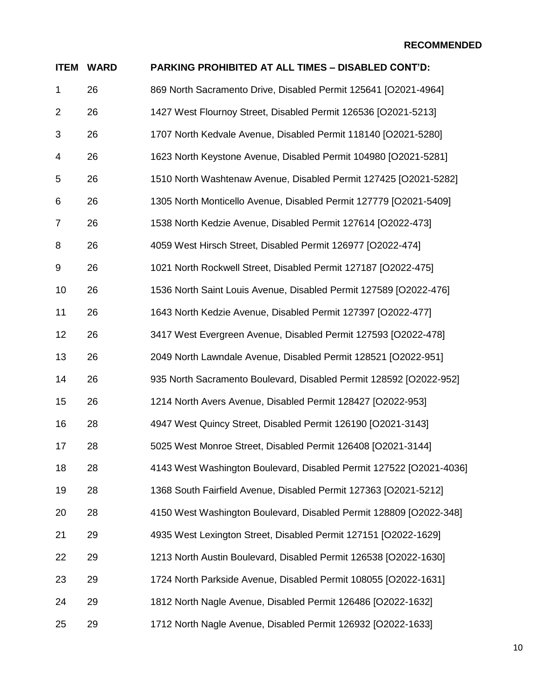| <b>ITEM</b>    | <b>WARD</b> | <b>PARKING PROHIBITED AT ALL TIMES - DISABLED CONT'D:</b>           |
|----------------|-------------|---------------------------------------------------------------------|
| 1              | 26          | 869 North Sacramento Drive, Disabled Permit 125641 [O2021-4964]     |
| 2              | 26          | 1427 West Flournoy Street, Disabled Permit 126536 [O2021-5213]      |
| 3              | 26          | 1707 North Kedvale Avenue, Disabled Permit 118140 [O2021-5280]      |
| 4              | 26          | 1623 North Keystone Avenue, Disabled Permit 104980 [O2021-5281]     |
| 5              | 26          | 1510 North Washtenaw Avenue, Disabled Permit 127425 [O2021-5282]    |
| 6              | 26          | 1305 North Monticello Avenue, Disabled Permit 127779 [O2021-5409]   |
| $\overline{7}$ | 26          | 1538 North Kedzie Avenue, Disabled Permit 127614 [O2022-473]        |
| 8              | 26          | 4059 West Hirsch Street, Disabled Permit 126977 [O2022-474]         |
| 9              | 26          | 1021 North Rockwell Street, Disabled Permit 127187 [O2022-475]      |
| 10             | 26          | 1536 North Saint Louis Avenue, Disabled Permit 127589 [O2022-476]   |
| 11             | 26          | 1643 North Kedzie Avenue, Disabled Permit 127397 [O2022-477]        |
| 12             | 26          | 3417 West Evergreen Avenue, Disabled Permit 127593 [O2022-478]      |
| 13             | 26          | 2049 North Lawndale Avenue, Disabled Permit 128521 [O2022-951]      |
| 14             | 26          | 935 North Sacramento Boulevard, Disabled Permit 128592 [O2022-952]  |
| 15             | 26          | 1214 North Avers Avenue, Disabled Permit 128427 [O2022-953]         |
| 16             | 28          | 4947 West Quincy Street, Disabled Permit 126190 [O2021-3143]        |
| 17             | 28          | 5025 West Monroe Street, Disabled Permit 126408 [O2021-3144]        |
| 18             | 28          | 4143 West Washington Boulevard, Disabled Permit 127522 [O2021-4036] |
| 19             | 28          | 1368 South Fairfield Avenue, Disabled Permit 127363 [O2021-5212]    |
| 20             | 28          | 4150 West Washington Boulevard, Disabled Permit 128809 [O2022-348]  |
| 21             | 29          | 4935 West Lexington Street, Disabled Permit 127151 [O2022-1629]     |
| 22             | 29          | 1213 North Austin Boulevard, Disabled Permit 126538 [O2022-1630]    |
| 23             | 29          | 1724 North Parkside Avenue, Disabled Permit 108055 [O2022-1631]     |
| 24             | 29          | 1812 North Nagle Avenue, Disabled Permit 126486 [O2022-1632]        |
| 25             | 29          | 1712 North Nagle Avenue, Disabled Permit 126932 [O2022-1633]        |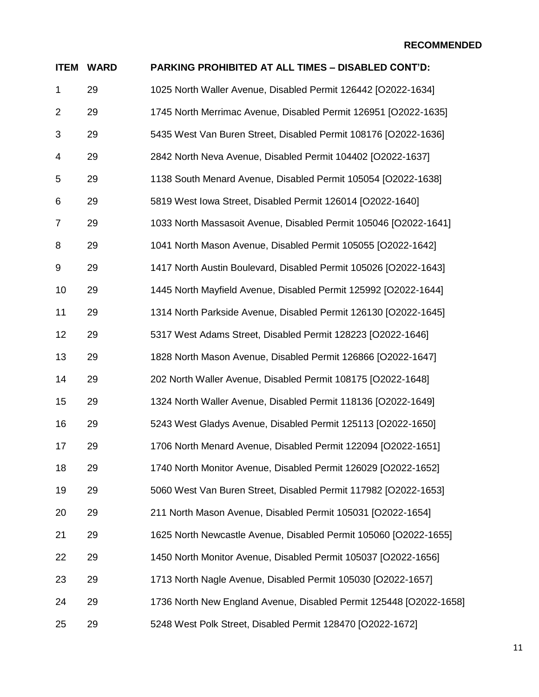| <b>ITEM</b>    | <b>WARD</b> | PARKING PROHIBITED AT ALL TIMES - DISABLED CONT'D:                 |
|----------------|-------------|--------------------------------------------------------------------|
| 1              | 29          | 1025 North Waller Avenue, Disabled Permit 126442 [O2022-1634]      |
| $\overline{2}$ | 29          | 1745 North Merrimac Avenue, Disabled Permit 126951 [O2022-1635]    |
| 3              | 29          | 5435 West Van Buren Street, Disabled Permit 108176 [O2022-1636]    |
| 4              | 29          | 2842 North Neva Avenue, Disabled Permit 104402 [O2022-1637]        |
| 5              | 29          | 1138 South Menard Avenue, Disabled Permit 105054 [O2022-1638]      |
| 6              | 29          | 5819 West Iowa Street, Disabled Permit 126014 [O2022-1640]         |
| $\overline{7}$ | 29          | 1033 North Massasoit Avenue, Disabled Permit 105046 [O2022-1641]   |
| 8              | 29          | 1041 North Mason Avenue, Disabled Permit 105055 [O2022-1642]       |
| 9              | 29          | 1417 North Austin Boulevard, Disabled Permit 105026 [O2022-1643]   |
| 10             | 29          | 1445 North Mayfield Avenue, Disabled Permit 125992 [O2022-1644]    |
| 11             | 29          | 1314 North Parkside Avenue, Disabled Permit 126130 [O2022-1645]    |
| 12             | 29          | 5317 West Adams Street, Disabled Permit 128223 [O2022-1646]        |
| 13             | 29          | 1828 North Mason Avenue, Disabled Permit 126866 [O2022-1647]       |
| 14             | 29          | 202 North Waller Avenue, Disabled Permit 108175 [O2022-1648]       |
| 15             | 29          | 1324 North Waller Avenue, Disabled Permit 118136 [O2022-1649]      |
| 16             | 29          | 5243 West Gladys Avenue, Disabled Permit 125113 [O2022-1650]       |
| 17             | 29          | 1706 North Menard Avenue, Disabled Permit 122094 [O2022-1651]      |
| 18             | 29          | 1740 North Monitor Avenue, Disabled Permit 126029 [O2022-1652]     |
| 19             | 29          | 5060 West Van Buren Street, Disabled Permit 117982 [O2022-1653]    |
| 20             | 29          | 211 North Mason Avenue, Disabled Permit 105031 [O2022-1654]        |
| 21             | 29          | 1625 North Newcastle Avenue, Disabled Permit 105060 [O2022-1655]   |
| 22             | 29          | 1450 North Monitor Avenue, Disabled Permit 105037 [O2022-1656]     |
| 23             | 29          | 1713 North Nagle Avenue, Disabled Permit 105030 [O2022-1657]       |
| 24             | 29          | 1736 North New England Avenue, Disabled Permit 125448 [O2022-1658] |
| 25             | 29          | 5248 West Polk Street, Disabled Permit 128470 [O2022-1672]         |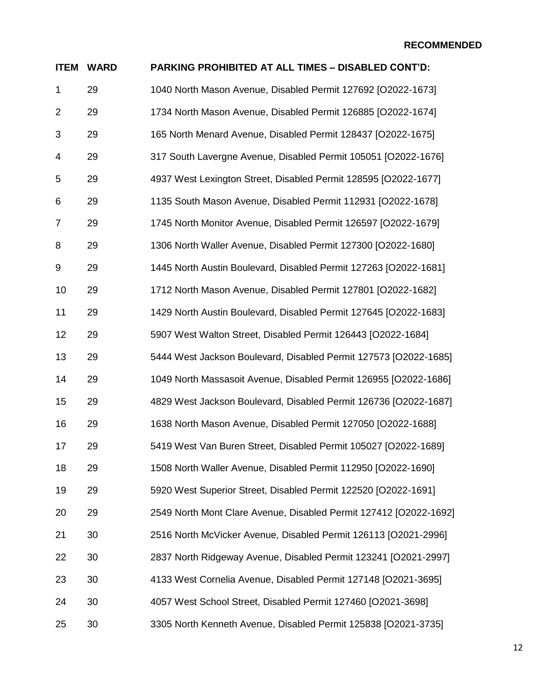| <b>ITEM</b>    | <b>WARD</b> | PARKING PROHIBITED AT ALL TIMES - DISABLED CONT'D:                |
|----------------|-------------|-------------------------------------------------------------------|
| 1              | 29          | 1040 North Mason Avenue, Disabled Permit 127692 [O2022-1673]      |
| $\overline{2}$ | 29          | 1734 North Mason Avenue, Disabled Permit 126885 [O2022-1674]      |
| 3              | 29          | 165 North Menard Avenue, Disabled Permit 128437 [O2022-1675]      |
| 4              | 29          | 317 South Lavergne Avenue, Disabled Permit 105051 [O2022-1676]    |
| 5              | 29          | 4937 West Lexington Street, Disabled Permit 128595 [O2022-1677]   |
| 6              | 29          | 1135 South Mason Avenue, Disabled Permit 112931 [O2022-1678]      |
| $\overline{7}$ | 29          | 1745 North Monitor Avenue, Disabled Permit 126597 [O2022-1679]    |
| 8              | 29          | 1306 North Waller Avenue, Disabled Permit 127300 [O2022-1680]     |
| 9              | 29          | 1445 North Austin Boulevard, Disabled Permit 127263 [O2022-1681]  |
| 10             | 29          | 1712 North Mason Avenue, Disabled Permit 127801 [O2022-1682]      |
| 11             | 29          | 1429 North Austin Boulevard, Disabled Permit 127645 [O2022-1683]  |
| 12             | 29          | 5907 West Walton Street, Disabled Permit 126443 [O2022-1684]      |
| 13             | 29          | 5444 West Jackson Boulevard, Disabled Permit 127573 [O2022-1685]  |
| 14             | 29          | 1049 North Massasoit Avenue, Disabled Permit 126955 [O2022-1686]  |
| 15             | 29          | 4829 West Jackson Boulevard, Disabled Permit 126736 [O2022-1687]  |
| 16             | 29          | 1638 North Mason Avenue, Disabled Permit 127050 [O2022-1688]      |
| 17             | 29          | 5419 West Van Buren Street, Disabled Permit 105027 [O2022-1689]   |
| 18             | 29          | 1508 North Waller Avenue, Disabled Permit 112950 [O2022-1690]     |
| 19             | 29          | 5920 West Superior Street, Disabled Permit 122520 [O2022-1691]    |
| 20             | 29          | 2549 North Mont Clare Avenue, Disabled Permit 127412 [O2022-1692] |
| 21             | 30          | 2516 North McVicker Avenue, Disabled Permit 126113 [O2021-2996]   |
| 22             | 30          | 2837 North Ridgeway Avenue, Disabled Permit 123241 [O2021-2997]   |
| 23             | 30          | 4133 West Cornelia Avenue, Disabled Permit 127148 [O2021-3695]    |
| 24             | 30          | 4057 West School Street, Disabled Permit 127460 [O2021-3698]      |
| 25             | 30          | 3305 North Kenneth Avenue, Disabled Permit 125838 [O2021-3735]    |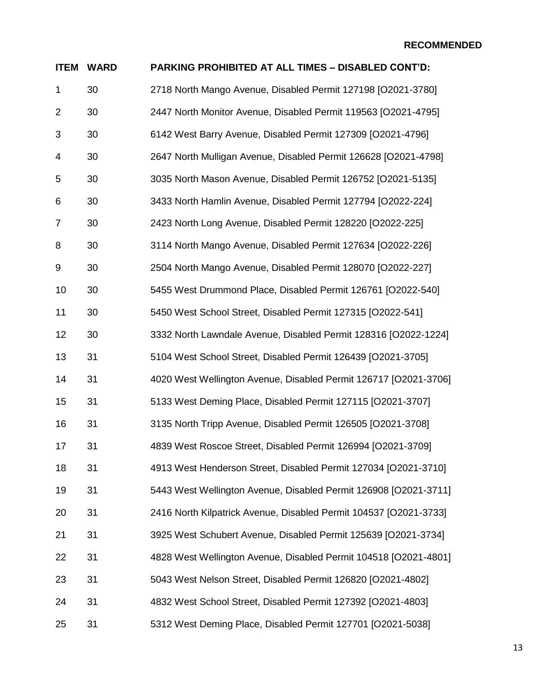| <b>ITEM</b>    | <b>WARD</b> | PARKING PROHIBITED AT ALL TIMES - DISABLED CONT'D:                |
|----------------|-------------|-------------------------------------------------------------------|
| 1              | 30          | 2718 North Mango Avenue, Disabled Permit 127198 [O2021-3780]      |
| $\overline{2}$ | 30          | 2447 North Monitor Avenue, Disabled Permit 119563 [O2021-4795]    |
| 3              | 30          | 6142 West Barry Avenue, Disabled Permit 127309 [O2021-4796]       |
| 4              | 30          | 2647 North Mulligan Avenue, Disabled Permit 126628 [O2021-4798]   |
| 5              | 30          | 3035 North Mason Avenue, Disabled Permit 126752 [O2021-5135]      |
| 6              | 30          | 3433 North Hamlin Avenue, Disabled Permit 127794 [O2022-224]      |
| 7              | 30          | 2423 North Long Avenue, Disabled Permit 128220 [O2022-225]        |
| 8              | 30          | 3114 North Mango Avenue, Disabled Permit 127634 [O2022-226]       |
| 9              | 30          | 2504 North Mango Avenue, Disabled Permit 128070 [O2022-227]       |
| 10             | 30          | 5455 West Drummond Place, Disabled Permit 126761 [O2022-540]      |
| 11             | 30          | 5450 West School Street, Disabled Permit 127315 [O2022-541]       |
| 12             | 30          | 3332 North Lawndale Avenue, Disabled Permit 128316 [O2022-1224]   |
| 13             | 31          | 5104 West School Street, Disabled Permit 126439 [O2021-3705]      |
| 14             | 31          | 4020 West Wellington Avenue, Disabled Permit 126717 [O2021-3706]  |
| 15             | 31          | 5133 West Deming Place, Disabled Permit 127115 [O2021-3707]       |
| 16             | 31          | 3135 North Tripp Avenue, Disabled Permit 126505 [O2021-3708]      |
| 17             | 31          | 4839 West Roscoe Street, Disabled Permit 126994 [O2021-3709]      |
| 18             | 31          | 4913 West Henderson Street, Disabled Permit 127034 [O2021-3710]   |
| 19             | 31          | 5443 West Wellington Avenue, Disabled Permit 126908 [O2021-3711]  |
| 20             | 31          | 2416 North Kilpatrick Avenue, Disabled Permit 104537 [O2021-3733] |
| 21             | 31          | 3925 West Schubert Avenue, Disabled Permit 125639 [O2021-3734]    |
| 22             | 31          | 4828 West Wellington Avenue, Disabled Permit 104518 [O2021-4801]  |
| 23             | 31          | 5043 West Nelson Street, Disabled Permit 126820 [O2021-4802]      |
| 24             | 31          | 4832 West School Street, Disabled Permit 127392 [O2021-4803]      |
| 25             | 31          | 5312 West Deming Place, Disabled Permit 127701 [O2021-5038]       |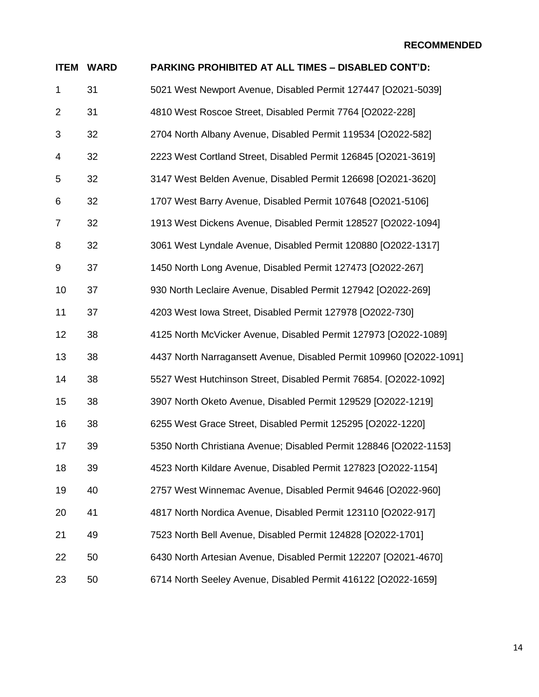| <b>ITEM</b>    | <b>WARD</b> | PARKING PROHIBITED AT ALL TIMES - DISABLED CONT'D:                  |
|----------------|-------------|---------------------------------------------------------------------|
| 1              | 31          | 5021 West Newport Avenue, Disabled Permit 127447 [O2021-5039]       |
| $\overline{2}$ | 31          | 4810 West Roscoe Street, Disabled Permit 7764 [O2022-228]           |
| 3              | 32          | 2704 North Albany Avenue, Disabled Permit 119534 [O2022-582]        |
| 4              | 32          | 2223 West Cortland Street, Disabled Permit 126845 [O2021-3619]      |
| 5              | 32          | 3147 West Belden Avenue, Disabled Permit 126698 [O2021-3620]        |
| 6              | 32          | 1707 West Barry Avenue, Disabled Permit 107648 [O2021-5106]         |
| $\overline{7}$ | 32          | 1913 West Dickens Avenue, Disabled Permit 128527 [O2022-1094]       |
| 8              | 32          | 3061 West Lyndale Avenue, Disabled Permit 120880 [O2022-1317]       |
| 9              | 37          | 1450 North Long Avenue, Disabled Permit 127473 [O2022-267]          |
| 10             | 37          | 930 North Leclaire Avenue, Disabled Permit 127942 [O2022-269]       |
| 11             | 37          | 4203 West Iowa Street, Disabled Permit 127978 [O2022-730]           |
| 12             | 38          | 4125 North McVicker Avenue, Disabled Permit 127973 [O2022-1089]     |
| 13             | 38          | 4437 North Narragansett Avenue, Disabled Permit 109960 [O2022-1091] |
| 14             | 38          | 5527 West Hutchinson Street, Disabled Permit 76854. [O2022-1092]    |
| 15             | 38          | 3907 North Oketo Avenue, Disabled Permit 129529 [O2022-1219]        |
| 16             | 38          | 6255 West Grace Street, Disabled Permit 125295 [O2022-1220]         |
| 17             | 39          | 5350 North Christiana Avenue; Disabled Permit 128846 [O2022-1153]   |
| 18             | 39          | 4523 North Kildare Avenue, Disabled Permit 127823 [O2022-1154]      |
| 19             | 40          | 2757 West Winnemac Avenue, Disabled Permit 94646 [O2022-960]        |
| 20             | 41          | 4817 North Nordica Avenue, Disabled Permit 123110 [O2022-917]       |
| 21             | 49          | 7523 North Bell Avenue, Disabled Permit 124828 [O2022-1701]         |
| 22             | 50          | 6430 North Artesian Avenue, Disabled Permit 122207 [O2021-4670]     |
| 23             | 50          | 6714 North Seeley Avenue, Disabled Permit 416122 [O2022-1659]       |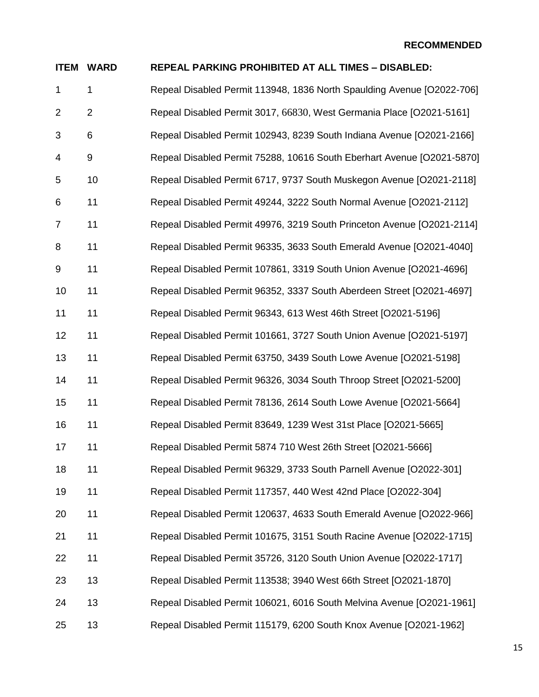|                | <b>ITEM WARD</b> | <b>REPEAL PARKING PROHIBITED AT ALL TIMES - DISABLED:</b>              |
|----------------|------------------|------------------------------------------------------------------------|
| $\mathbf{1}$   | 1                | Repeal Disabled Permit 113948, 1836 North Spaulding Avenue [O2022-706] |
| $\overline{2}$ | $\overline{2}$   | Repeal Disabled Permit 3017, 66830, West Germania Place [O2021-5161]   |
| 3              | 6                | Repeal Disabled Permit 102943, 8239 South Indiana Avenue [O2021-2166]  |
| 4              | 9                | Repeal Disabled Permit 75288, 10616 South Eberhart Avenue [O2021-5870] |
| 5              | 10               | Repeal Disabled Permit 6717, 9737 South Muskegon Avenue [O2021-2118]   |
| 6              | 11               | Repeal Disabled Permit 49244, 3222 South Normal Avenue [O2021-2112]    |
| $\overline{7}$ | 11               | Repeal Disabled Permit 49976, 3219 South Princeton Avenue [O2021-2114] |
| 8              | 11               | Repeal Disabled Permit 96335, 3633 South Emerald Avenue [O2021-4040]   |
| 9              | 11               | Repeal Disabled Permit 107861, 3319 South Union Avenue [O2021-4696]    |
| 10             | 11               | Repeal Disabled Permit 96352, 3337 South Aberdeen Street [O2021-4697]  |
| 11             | 11               | Repeal Disabled Permit 96343, 613 West 46th Street [O2021-5196]        |
| 12             | 11               | Repeal Disabled Permit 101661, 3727 South Union Avenue [O2021-5197]    |
| 13             | 11               | Repeal Disabled Permit 63750, 3439 South Lowe Avenue [O2021-5198]      |
| 14             | 11               | Repeal Disabled Permit 96326, 3034 South Throop Street [O2021-5200]    |
| 15             | 11               | Repeal Disabled Permit 78136, 2614 South Lowe Avenue [O2021-5664]      |
| 16             | 11               | Repeal Disabled Permit 83649, 1239 West 31st Place [O2021-5665]        |
| 17             | 11               | Repeal Disabled Permit 5874 710 West 26th Street [O2021-5666]          |
| 18             | 11               | Repeal Disabled Permit 96329, 3733 South Parnell Avenue [O2022-301]    |
| 19             | 11               | Repeal Disabled Permit 117357, 440 West 42nd Place [O2022-304]         |
| 20             | 11               | Repeal Disabled Permit 120637, 4633 South Emerald Avenue [O2022-966]   |
| 21             | 11               | Repeal Disabled Permit 101675, 3151 South Racine Avenue [O2022-1715]   |
| 22             | 11               | Repeal Disabled Permit 35726, 3120 South Union Avenue [O2022-1717]     |
| 23             | 13               | Repeal Disabled Permit 113538; 3940 West 66th Street [O2021-1870]      |
| 24             | 13               | Repeal Disabled Permit 106021, 6016 South Melvina Avenue [O2021-1961]  |
| 25             | 13               | Repeal Disabled Permit 115179, 6200 South Knox Avenue [O2021-1962]     |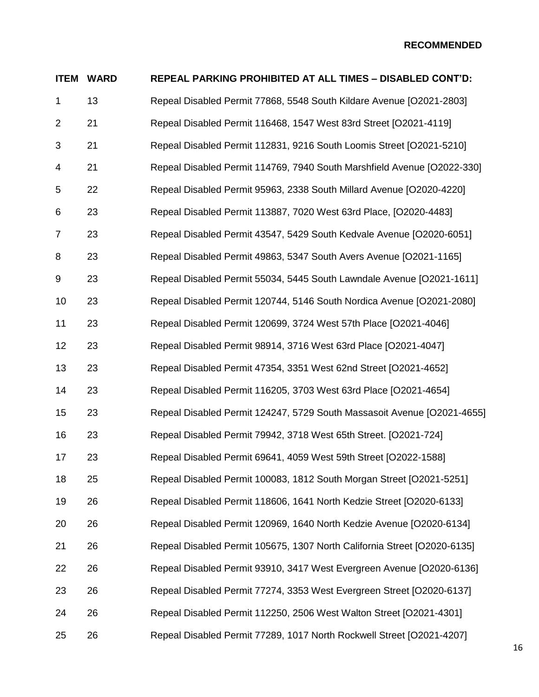|                | <b>ITEM WARD</b> | <b>REPEAL PARKING PROHIBITED AT ALL TIMES - DISABLED CONT'D:</b>         |
|----------------|------------------|--------------------------------------------------------------------------|
| 1              | 13               | Repeal Disabled Permit 77868, 5548 South Kildare Avenue [O2021-2803]     |
| $\overline{2}$ | 21               | Repeal Disabled Permit 116468, 1547 West 83rd Street [O2021-4119]        |
| 3              | 21               | Repeal Disabled Permit 112831, 9216 South Loomis Street [O2021-5210]     |
| 4              | 21               | Repeal Disabled Permit 114769, 7940 South Marshfield Avenue [O2022-330]  |
| 5              | 22               | Repeal Disabled Permit 95963, 2338 South Millard Avenue [O2020-4220]     |
| 6              | 23               | Repeal Disabled Permit 113887, 7020 West 63rd Place, [O2020-4483]        |
| $\overline{7}$ | 23               | Repeal Disabled Permit 43547, 5429 South Kedvale Avenue [O2020-6051]     |
| 8              | 23               | Repeal Disabled Permit 49863, 5347 South Avers Avenue [O2021-1165]       |
| 9              | 23               | Repeal Disabled Permit 55034, 5445 South Lawndale Avenue [O2021-1611]    |
| 10             | 23               | Repeal Disabled Permit 120744, 5146 South Nordica Avenue [O2021-2080]    |
| 11             | 23               | Repeal Disabled Permit 120699, 3724 West 57th Place [O2021-4046]         |
| 12             | 23               | Repeal Disabled Permit 98914, 3716 West 63rd Place [O2021-4047]          |
| 13             | 23               | Repeal Disabled Permit 47354, 3351 West 62nd Street [O2021-4652]         |
| 14             | 23               | Repeal Disabled Permit 116205, 3703 West 63rd Place [O2021-4654]         |
| 15             | 23               | Repeal Disabled Permit 124247, 5729 South Massasoit Avenue [O2021-4655]  |
| 16             | 23               | Repeal Disabled Permit 79942, 3718 West 65th Street. [O2021-724]         |
| 17             | 23               | Repeal Disabled Permit 69641, 4059 West 59th Street [O2022-1588]         |
| 18             | 25               | Repeal Disabled Permit 100083, 1812 South Morgan Street [O2021-5251]     |
| 19             | 26               | Repeal Disabled Permit 118606, 1641 North Kedzie Street [O2020-6133]     |
| 20             | 26               | Repeal Disabled Permit 120969, 1640 North Kedzie Avenue [O2020-6134]     |
| 21             | 26               | Repeal Disabled Permit 105675, 1307 North California Street [O2020-6135] |
| 22             | 26               | Repeal Disabled Permit 93910, 3417 West Evergreen Avenue [O2020-6136]    |
| 23             | 26               | Repeal Disabled Permit 77274, 3353 West Evergreen Street [O2020-6137]    |
| 24             | 26               | Repeal Disabled Permit 112250, 2506 West Walton Street [O2021-4301]      |
| 25             | 26               | Repeal Disabled Permit 77289, 1017 North Rockwell Street [O2021-4207]    |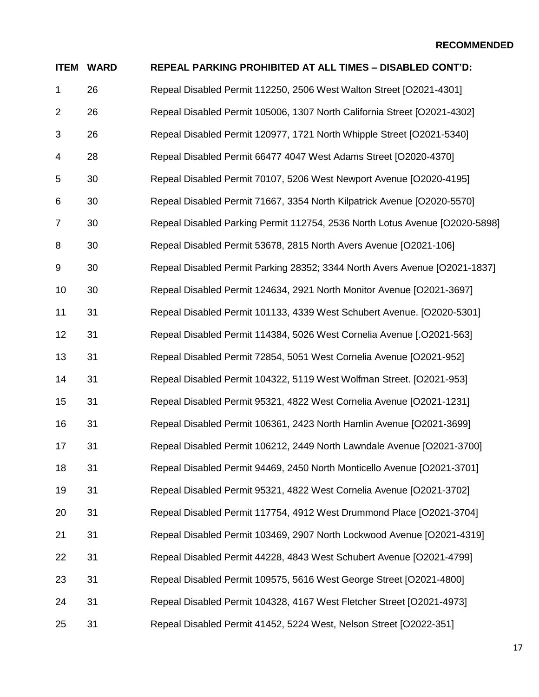|                | <b>ITEM WARD</b> | <b>REPEAL PARKING PROHIBITED AT ALL TIMES - DISABLED CONT'D:</b>            |
|----------------|------------------|-----------------------------------------------------------------------------|
| $\mathbf 1$    | 26               | Repeal Disabled Permit 112250, 2506 West Walton Street [O2021-4301]         |
| $\overline{2}$ | 26               | Repeal Disabled Permit 105006, 1307 North California Street [O2021-4302]    |
| 3              | 26               | Repeal Disabled Permit 120977, 1721 North Whipple Street [O2021-5340]       |
| 4              | 28               | Repeal Disabled Permit 66477 4047 West Adams Street [O2020-4370]            |
| 5              | 30               | Repeal Disabled Permit 70107, 5206 West Newport Avenue [O2020-4195]         |
| 6              | 30               | Repeal Disabled Permit 71667, 3354 North Kilpatrick Avenue [O2020-5570]     |
| $\overline{7}$ | 30               | Repeal Disabled Parking Permit 112754, 2536 North Lotus Avenue [O2020-5898] |
| 8              | 30               | Repeal Disabled Permit 53678, 2815 North Avers Avenue [O2021-106]           |
| 9              | 30               | Repeal Disabled Permit Parking 28352; 3344 North Avers Avenue [O2021-1837]  |
| 10             | 30               | Repeal Disabled Permit 124634, 2921 North Monitor Avenue [O2021-3697]       |
| 11             | 31               | Repeal Disabled Permit 101133, 4339 West Schubert Avenue. [O2020-5301]      |
| 12             | 31               | Repeal Disabled Permit 114384, 5026 West Cornelia Avenue [.02021-563]       |
| 13             | 31               | Repeal Disabled Permit 72854, 5051 West Cornelia Avenue [O2021-952]         |
| 14             | 31               | Repeal Disabled Permit 104322, 5119 West Wolfman Street. [O2021-953]        |
| 15             | 31               | Repeal Disabled Permit 95321, 4822 West Cornelia Avenue [O2021-1231]        |
| 16             | 31               | Repeal Disabled Permit 106361, 2423 North Hamlin Avenue [O2021-3699]        |
| 17             | 31               | Repeal Disabled Permit 106212, 2449 North Lawndale Avenue [O2021-3700]      |
| 18             | 31               | Repeal Disabled Permit 94469, 2450 North Monticello Avenue [O2021-3701]     |
| 19             | 31               | Repeal Disabled Permit 95321, 4822 West Cornelia Avenue [O2021-3702]        |
| 20             | 31               | Repeal Disabled Permit 117754, 4912 West Drummond Place [O2021-3704]        |
| 21             | 31               | Repeal Disabled Permit 103469, 2907 North Lockwood Avenue [O2021-4319]      |
| 22             | 31               | Repeal Disabled Permit 44228, 4843 West Schubert Avenue [O2021-4799]        |
| 23             | 31               | Repeal Disabled Permit 109575, 5616 West George Street [O2021-4800]         |
| 24             | 31               | Repeal Disabled Permit 104328, 4167 West Fletcher Street [O2021-4973]       |
| 25             | 31               | Repeal Disabled Permit 41452, 5224 West, Nelson Street [O2022-351]          |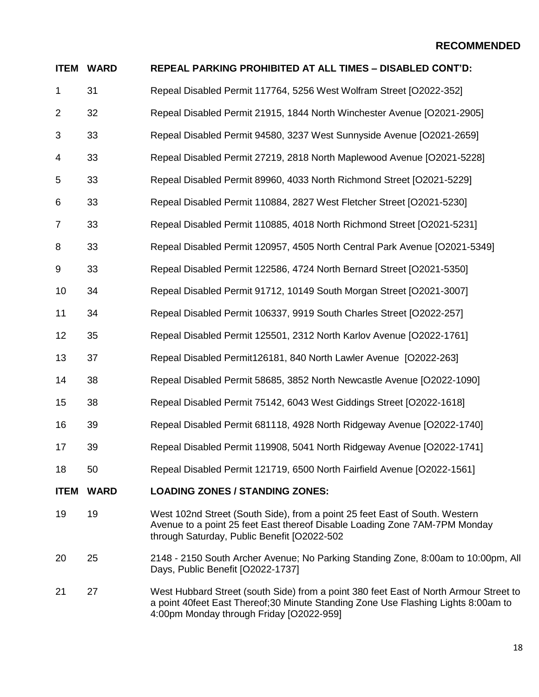| <b>ITEM</b>    | <b>WARD</b> | <b>REPEAL PARKING PROHIBITED AT ALL TIMES - DISABLED CONT'D:</b>                                                                                                                                         |
|----------------|-------------|----------------------------------------------------------------------------------------------------------------------------------------------------------------------------------------------------------|
| 1              | 31          | Repeal Disabled Permit 117764, 5256 West Wolfram Street [O2022-352]                                                                                                                                      |
| 2              | 32          | Repeal Disabled Permit 21915, 1844 North Winchester Avenue [O2021-2905]                                                                                                                                  |
| 3              | 33          | Repeal Disabled Permit 94580, 3237 West Sunnyside Avenue [O2021-2659]                                                                                                                                    |
| 4              | 33          | Repeal Disabled Permit 27219, 2818 North Maplewood Avenue [O2021-5228]                                                                                                                                   |
| 5              | 33          | Repeal Disabled Permit 89960, 4033 North Richmond Street [O2021-5229]                                                                                                                                    |
| 6              | 33          | Repeal Disabled Permit 110884, 2827 West Fletcher Street [O2021-5230]                                                                                                                                    |
| $\overline{7}$ | 33          | Repeal Disabled Permit 110885, 4018 North Richmond Street [O2021-5231]                                                                                                                                   |
| 8              | 33          | Repeal Disabled Permit 120957, 4505 North Central Park Avenue [O2021-5349]                                                                                                                               |
| 9              | 33          | Repeal Disabled Permit 122586, 4724 North Bernard Street [O2021-5350]                                                                                                                                    |
| 10             | 34          | Repeal Disabled Permit 91712, 10149 South Morgan Street [O2021-3007]                                                                                                                                     |
| 11             | 34          | Repeal Disabled Permit 106337, 9919 South Charles Street [O2022-257]                                                                                                                                     |
| 12             | 35          | Repeal Disabled Permit 125501, 2312 North Karlov Avenue [O2022-1761]                                                                                                                                     |
| 13             | 37          | Repeal Disabled Permit126181, 840 North Lawler Avenue [O2022-263]                                                                                                                                        |
| 14             | 38          | Repeal Disabled Permit 58685, 3852 North Newcastle Avenue [O2022-1090]                                                                                                                                   |
| 15             | 38          | Repeal Disabled Permit 75142, 6043 West Giddings Street [O2022-1618]                                                                                                                                     |
| 16             | 39          | Repeal Disabled Permit 681118, 4928 North Ridgeway Avenue [O2022-1740]                                                                                                                                   |
| 17             | 39          | Repeal Disabled Permit 119908, 5041 North Ridgeway Avenue [O2022-1741]                                                                                                                                   |
| 18             | 50          | Repeal Disabled Permit 121719, 6500 North Fairfield Avenue [O2022-1561]                                                                                                                                  |
| <b>ITEM</b>    | <b>WARD</b> | <b>LOADING ZONES / STANDING ZONES:</b>                                                                                                                                                                   |
| 19             | 19          | West 102nd Street (South Side), from a point 25 feet East of South. Western<br>Avenue to a point 25 feet East thereof Disable Loading Zone 7AM-7PM Monday<br>through Saturday, Public Benefit [O2022-502 |
| 20             | 25          | 2148 - 2150 South Archer Avenue; No Parking Standing Zone, 8:00am to 10:00pm, All<br>Days, Public Benefit [O2022-1737]                                                                                   |
| 21             | 27          | West Hubbard Street (south Side) from a point 380 feet East of North Armour Street to<br>a point 40feet East Thereof;30 Minute Standing Zone Use Flashing Lights 8:00am to                               |

4:00pm Monday through Friday [O2022-959]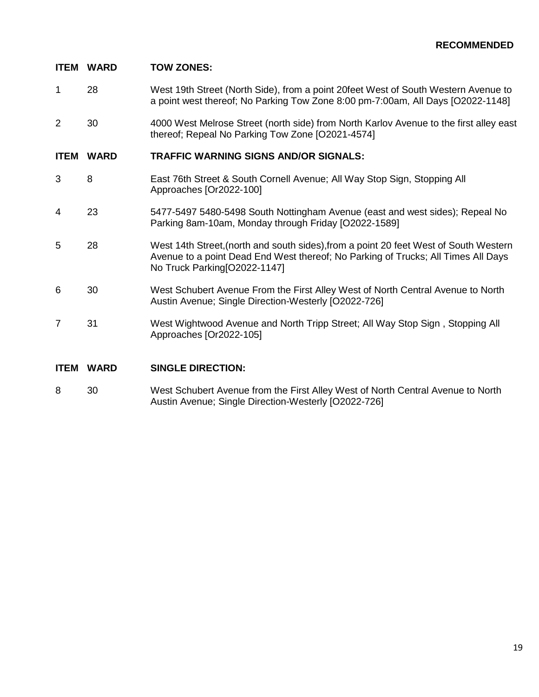## **ITEM WARD TOW ZONES:**

- 1 28 West 19th Street (North Side), from a point 20feet West of South Western Avenue to a point west thereof; No Parking Tow Zone 8:00 pm-7:00am, All Days [O2022-1148]
- 2 30 4000 West Melrose Street (north side) from North Karlov Avenue to the first alley east thereof; Repeal No Parking Tow Zone [O2021-4574]

#### **ITEM WARD TRAFFIC WARNING SIGNS AND/OR SIGNALS:**

- 3 8 East 76th Street & South Cornell Avenue; All Way Stop Sign, Stopping All Approaches [Or2022-100]
- 4 23 5477-5497 5480-5498 South Nottingham Avenue (east and west sides); Repeal No Parking 8am-10am, Monday through Friday [O2022-1589]
- 5 28 West 14th Street,(north and south sides),from a point 20 feet West of South Western Avenue to a point Dead End West thereof; No Parking of Trucks; All Times All Days No Truck Parking[O2022-1147]
- 6 30 West Schubert Avenue From the First Alley West of North Central Avenue to North Austin Avenue; Single Direction-Westerly [O2022-726]
- 7 31 West Wightwood Avenue and North Tripp Street; All Way Stop Sign , Stopping All Approaches [Or2022-105]

#### **ITEM WARD SINGLE DIRECTION:**

8 30 West Schubert Avenue from the First Alley West of North Central Avenue to North Austin Avenue; Single Direction-Westerly [O2022-726]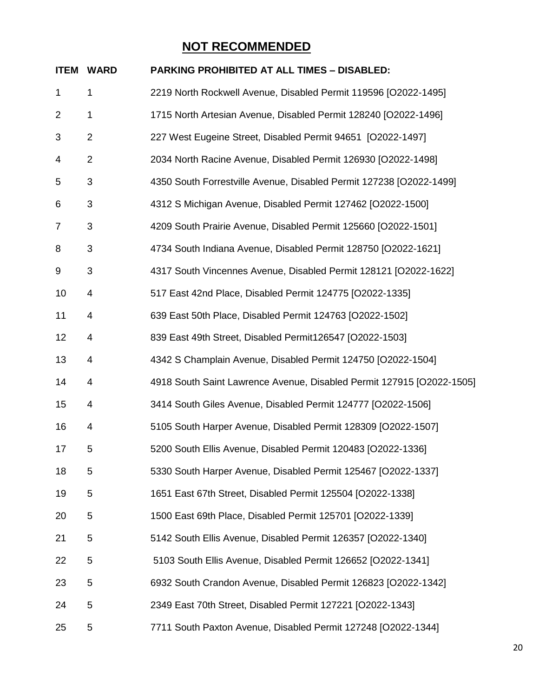|                | <b>ITEM WARD</b> | <b>PARKING PROHIBITED AT ALL TIMES - DISABLED:</b>                    |
|----------------|------------------|-----------------------------------------------------------------------|
| 1              | 1                | 2219 North Rockwell Avenue, Disabled Permit 119596 [O2022-1495]       |
| 2              | 1                | 1715 North Artesian Avenue, Disabled Permit 128240 [O2022-1496]       |
| 3              | $\overline{2}$   | 227 West Eugeine Street, Disabled Permit 94651 [O2022-1497]           |
| 4              | $\overline{2}$   | 2034 North Racine Avenue, Disabled Permit 126930 [O2022-1498]         |
| 5              | 3                | 4350 South Forrestville Avenue, Disabled Permit 127238 [O2022-1499]   |
| 6              | 3                | 4312 S Michigan Avenue, Disabled Permit 127462 [O2022-1500]           |
| $\overline{7}$ | 3                | 4209 South Prairie Avenue, Disabled Permit 125660 [O2022-1501]        |
| 8              | 3                | 4734 South Indiana Avenue, Disabled Permit 128750 [O2022-1621]        |
| 9              | 3                | 4317 South Vincennes Avenue, Disabled Permit 128121 [O2022-1622]      |
| 10             | 4                | 517 East 42nd Place, Disabled Permit 124775 [O2022-1335]              |
| 11             | 4                | 639 East 50th Place, Disabled Permit 124763 [O2022-1502]              |
| 12             | 4                | 839 East 49th Street, Disabled Permit126547 [O2022-1503]              |
| 13             | 4                | 4342 S Champlain Avenue, Disabled Permit 124750 [O2022-1504]          |
| 14             | 4                | 4918 South Saint Lawrence Avenue, Disabled Permit 127915 [O2022-1505] |
| 15             | 4                | 3414 South Giles Avenue, Disabled Permit 124777 [O2022-1506]          |
| 16             | 4                | 5105 South Harper Avenue, Disabled Permit 128309 [O2022-1507]         |
| 17             | 5                | 5200 South Ellis Avenue, Disabled Permit 120483 [O2022-1336]          |
| 18             | 5                | 5330 South Harper Avenue, Disabled Permit 125467 [O2022-1337]         |
| 19             | 5                | 1651 East 67th Street, Disabled Permit 125504 [O2022-1338]            |
| 20             | 5                | 1500 East 69th Place, Disabled Permit 125701 [O2022-1339]             |
| 21             | 5                | 5142 South Ellis Avenue, Disabled Permit 126357 [O2022-1340]          |
| 22             | 5                | 5103 South Ellis Avenue, Disabled Permit 126652 [O2022-1341]          |
| 23             | 5                | 6932 South Crandon Avenue, Disabled Permit 126823 [O2022-1342]        |
| 24             | 5                | 2349 East 70th Street, Disabled Permit 127221 [O2022-1343]            |
| 25             | 5                | 7711 South Paxton Avenue, Disabled Permit 127248 [O2022-1344]         |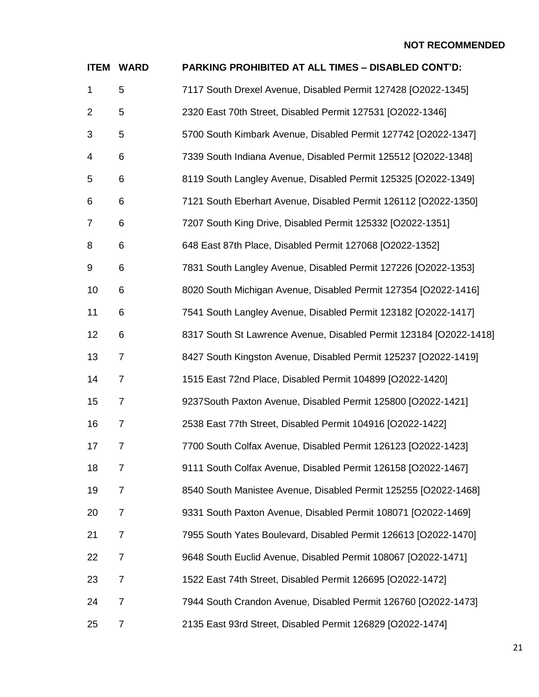| <b>ITEM</b>    | <b>WARD</b>    | <b>PARKING PROHIBITED AT ALL TIMES - DISABLED CONT'D:</b>          |
|----------------|----------------|--------------------------------------------------------------------|
| $\mathbf{1}$   | 5              | 7117 South Drexel Avenue, Disabled Permit 127428 [O2022-1345]      |
| $\overline{2}$ | 5              | 2320 East 70th Street, Disabled Permit 127531 [O2022-1346]         |
| 3              | 5              | 5700 South Kimbark Avenue, Disabled Permit 127742 [O2022-1347]     |
| 4              | 6              | 7339 South Indiana Avenue, Disabled Permit 125512 [O2022-1348]     |
| 5              | 6              | 8119 South Langley Avenue, Disabled Permit 125325 [O2022-1349]     |
| 6              | 6              | 7121 South Eberhart Avenue, Disabled Permit 126112 [O2022-1350]    |
| 7              | 6              | 7207 South King Drive, Disabled Permit 125332 [O2022-1351]         |
| 8              | 6              | 648 East 87th Place, Disabled Permit 127068 [O2022-1352]           |
| 9              | 6              | 7831 South Langley Avenue, Disabled Permit 127226 [O2022-1353]     |
| 10             | 6              | 8020 South Michigan Avenue, Disabled Permit 127354 [O2022-1416]    |
| 11             | 6              | 7541 South Langley Avenue, Disabled Permit 123182 [O2022-1417]     |
| 12             | 6              | 8317 South St Lawrence Avenue, Disabled Permit 123184 [O2022-1418] |
| 13             | $\overline{7}$ | 8427 South Kingston Avenue, Disabled Permit 125237 [O2022-1419]    |
| 14             | $\overline{7}$ | 1515 East 72nd Place, Disabled Permit 104899 [O2022-1420]          |
| 15             | $\overline{7}$ | 9237South Paxton Avenue, Disabled Permit 125800 [O2022-1421]       |
| 16             | $\overline{7}$ | 2538 East 77th Street, Disabled Permit 104916 [O2022-1422]         |
| 17             | 7              | 7700 South Colfax Avenue, Disabled Permit 126123 [O2022-1423]      |
| 18             | 7              | 9111 South Colfax Avenue, Disabled Permit 126158 [O2022-1467]      |
| 19             | $\overline{7}$ | 8540 South Manistee Avenue, Disabled Permit 125255 [O2022-1468]    |
| 20             | $\overline{7}$ | 9331 South Paxton Avenue, Disabled Permit 108071 [O2022-1469]      |
| 21             | $\overline{7}$ | 7955 South Yates Boulevard, Disabled Permit 126613 [O2022-1470]    |
| 22             | $\overline{7}$ | 9648 South Euclid Avenue, Disabled Permit 108067 [O2022-1471]      |
| 23             | $\overline{7}$ | 1522 East 74th Street, Disabled Permit 126695 [O2022-1472]         |
| 24             | $\overline{7}$ | 7944 South Crandon Avenue, Disabled Permit 126760 [O2022-1473]     |
| 25             | $\overline{7}$ | 2135 East 93rd Street, Disabled Permit 126829 [O2022-1474]         |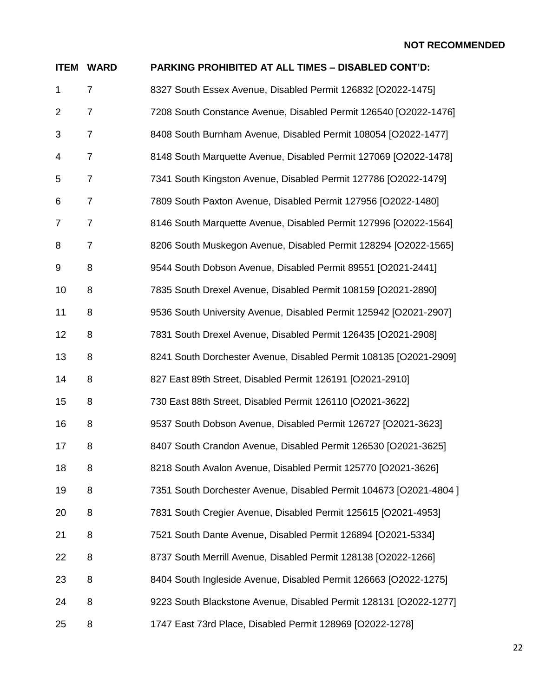| <b>ITEM</b>    | <b>WARD</b>    | PARKING PROHIBITED AT ALL TIMES - DISABLED CONT'D:                |
|----------------|----------------|-------------------------------------------------------------------|
| 1              | $\overline{7}$ | 8327 South Essex Avenue, Disabled Permit 126832 [O2022-1475]      |
| 2              | 7              | 7208 South Constance Avenue, Disabled Permit 126540 [O2022-1476]  |
| 3              | $\overline{7}$ | 8408 South Burnham Avenue, Disabled Permit 108054 [O2022-1477]    |
| 4              | $\overline{7}$ | 8148 South Marquette Avenue, Disabled Permit 127069 [O2022-1478]  |
| 5              | $\overline{7}$ | 7341 South Kingston Avenue, Disabled Permit 127786 [O2022-1479]   |
| 6              | $\overline{7}$ | 7809 South Paxton Avenue, Disabled Permit 127956 [O2022-1480]     |
| $\overline{7}$ | $\overline{7}$ | 8146 South Marquette Avenue, Disabled Permit 127996 [O2022-1564]  |
| 8              | $\overline{7}$ | 8206 South Muskegon Avenue, Disabled Permit 128294 [O2022-1565]   |
| 9              | 8              | 9544 South Dobson Avenue, Disabled Permit 89551 [O2021-2441]      |
| 10             | 8              | 7835 South Drexel Avenue, Disabled Permit 108159 [O2021-2890]     |
| 11             | 8              | 9536 South University Avenue, Disabled Permit 125942 [O2021-2907] |
| 12             | 8              | 7831 South Drexel Avenue, Disabled Permit 126435 [O2021-2908]     |
| 13             | 8              | 8241 South Dorchester Avenue, Disabled Permit 108135 [O2021-2909] |
| 14             | 8              | 827 East 89th Street, Disabled Permit 126191 [O2021-2910]         |
| 15             | 8              | 730 East 88th Street, Disabled Permit 126110 [O2021-3622]         |
| 16             | 8              | 9537 South Dobson Avenue, Disabled Permit 126727 [O2021-3623]     |
| 17             | 8              | 8407 South Crandon Avenue, Disabled Permit 126530 [O2021-3625]    |
| 18             | 8              | 8218 South Avalon Avenue, Disabled Permit 125770 [O2021-3626]     |
| 19             | 8              | 7351 South Dorchester Avenue, Disabled Permit 104673 [O2021-4804] |
| 20             | 8              | 7831 South Cregier Avenue, Disabled Permit 125615 [O2021-4953]    |
| 21             | 8              | 7521 South Dante Avenue, Disabled Permit 126894 [O2021-5334]      |
| 22             | 8              | 8737 South Merrill Avenue, Disabled Permit 128138 [O2022-1266]    |
| 23             | 8              | 8404 South Ingleside Avenue, Disabled Permit 126663 [O2022-1275]  |
| 24             | 8              | 9223 South Blackstone Avenue, Disabled Permit 128131 [O2022-1277] |
| 25             | 8              | 1747 East 73rd Place, Disabled Permit 128969 [O2022-1278]         |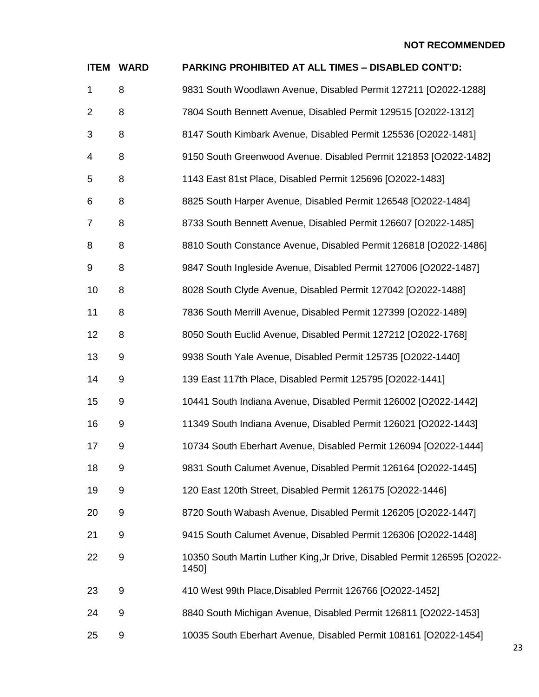| <b>ITEM</b>    | <b>WARD</b>      | <b>PARKING PROHIBITED AT ALL TIMES - DISABLED CONT'D:</b>                         |
|----------------|------------------|-----------------------------------------------------------------------------------|
| 1              | 8                | 9831 South Woodlawn Avenue, Disabled Permit 127211 [O2022-1288]                   |
| $\overline{2}$ | 8                | 7804 South Bennett Avenue, Disabled Permit 129515 [O2022-1312]                    |
| 3              | 8                | 8147 South Kimbark Avenue, Disabled Permit 125536 [O2022-1481]                    |
| 4              | 8                | 9150 South Greenwood Avenue. Disabled Permit 121853 [O2022-1482]                  |
| 5              | 8                | 1143 East 81st Place, Disabled Permit 125696 [O2022-1483]                         |
| 6              | 8                | 8825 South Harper Avenue, Disabled Permit 126548 [O2022-1484]                     |
| $\overline{7}$ | 8                | 8733 South Bennett Avenue, Disabled Permit 126607 [O2022-1485]                    |
| 8              | 8                | 8810 South Constance Avenue, Disabled Permit 126818 [O2022-1486]                  |
| 9              | 8                | 9847 South Ingleside Avenue, Disabled Permit 127006 [O2022-1487]                  |
| 10             | 8                | 8028 South Clyde Avenue, Disabled Permit 127042 [O2022-1488]                      |
| 11             | 8                | 7836 South Merrill Avenue, Disabled Permit 127399 [O2022-1489]                    |
| 12             | 8                | 8050 South Euclid Avenue, Disabled Permit 127212 [O2022-1768]                     |
| 13             | 9                | 9938 South Yale Avenue, Disabled Permit 125735 [O2022-1440]                       |
| 14             | 9                | 139 East 117th Place, Disabled Permit 125795 [O2022-1441]                         |
| 15             | 9                | 10441 South Indiana Avenue, Disabled Permit 126002 [O2022-1442]                   |
| 16             | $\boldsymbol{9}$ | 11349 South Indiana Avenue, Disabled Permit 126021 [O2022-1443]                   |
| 17             | 9                | 10734 South Eberhart Avenue, Disabled Permit 126094 [O2022-1444]                  |
| 18             | 9                | 9831 South Calumet Avenue, Disabled Permit 126164 [O2022-1445]                    |
| 19             | 9                | 120 East 120th Street, Disabled Permit 126175 [O2022-1446]                        |
| 20             | 9                | 8720 South Wabash Avenue, Disabled Permit 126205 [O2022-1447]                     |
| 21             | 9                | 9415 South Calumet Avenue, Disabled Permit 126306 [O2022-1448]                    |
| 22             | 9                | 10350 South Martin Luther King, Jr Drive, Disabled Permit 126595 [O2022-<br>1450] |
| 23             | 9                | 410 West 99th Place, Disabled Permit 126766 [O2022-1452]                          |
| 24             | 9                | 8840 South Michigan Avenue, Disabled Permit 126811 [O2022-1453]                   |
| 25             | $\boldsymbol{9}$ | 10035 South Eberhart Avenue, Disabled Permit 108161 [O2022-1454]                  |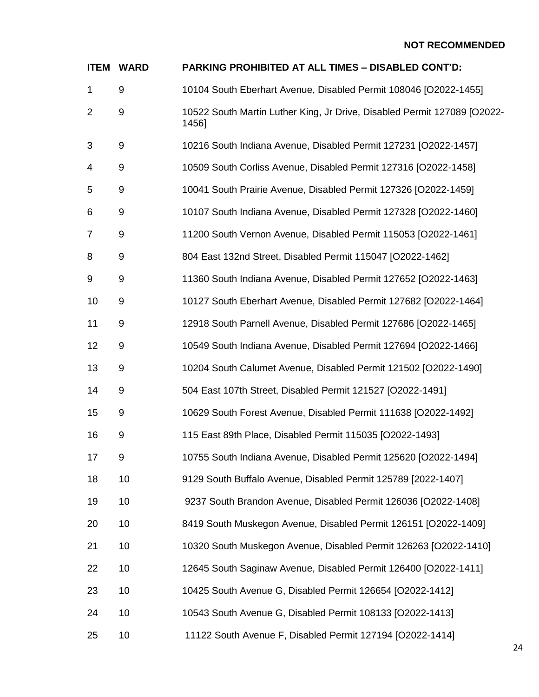| <b>ITEM</b>    | <b>WARD</b> | PARKING PROHIBITED AT ALL TIMES - DISABLED CONT'D:                                |
|----------------|-------------|-----------------------------------------------------------------------------------|
| 1              | 9           | 10104 South Eberhart Avenue, Disabled Permit 108046 [O2022-1455]                  |
| $\overline{2}$ | 9           | 10522 South Martin Luther King, Jr Drive, Disabled Permit 127089 [O2022-<br>1456] |
| 3              | 9           | 10216 South Indiana Avenue, Disabled Permit 127231 [O2022-1457]                   |
| 4              | 9           | 10509 South Corliss Avenue, Disabled Permit 127316 [O2022-1458]                   |
| 5              | 9           | 10041 South Prairie Avenue, Disabled Permit 127326 [O2022-1459]                   |
| 6              | 9           | 10107 South Indiana Avenue, Disabled Permit 127328 [O2022-1460]                   |
| $\overline{7}$ | 9           | 11200 South Vernon Avenue, Disabled Permit 115053 [O2022-1461]                    |
| 8              | 9           | 804 East 132nd Street, Disabled Permit 115047 [O2022-1462]                        |
| 9              | 9           | 11360 South Indiana Avenue, Disabled Permit 127652 [O2022-1463]                   |
| 10             | 9           | 10127 South Eberhart Avenue, Disabled Permit 127682 [O2022-1464]                  |
| 11             | 9           | 12918 South Parnell Avenue, Disabled Permit 127686 [O2022-1465]                   |
| 12             | 9           | 10549 South Indiana Avenue, Disabled Permit 127694 [O2022-1466]                   |
| 13             | 9           | 10204 South Calumet Avenue, Disabled Permit 121502 [O2022-1490]                   |
| 14             | 9           | 504 East 107th Street, Disabled Permit 121527 [O2022-1491]                        |
| 15             | 9           | 10629 South Forest Avenue, Disabled Permit 111638 [O2022-1492]                    |
| 16             | 9           | 115 East 89th Place, Disabled Permit 115035 [O2022-1493]                          |
| 17             | 9           | 10755 South Indiana Avenue, Disabled Permit 125620 [O2022-1494]                   |
| 18             | 10          | 9129 South Buffalo Avenue, Disabled Permit 125789 [2022-1407]                     |
| 19             | 10          | 9237 South Brandon Avenue, Disabled Permit 126036 [O2022-1408]                    |
| 20             | 10          | 8419 South Muskegon Avenue, Disabled Permit 126151 [O2022-1409]                   |
| 21             | 10          | 10320 South Muskegon Avenue, Disabled Permit 126263 [O2022-1410]                  |
| 22             | 10          | 12645 South Saginaw Avenue, Disabled Permit 126400 [O2022-1411]                   |
| 23             | 10          | 10425 South Avenue G, Disabled Permit 126654 [O2022-1412]                         |
| 24             | 10          | 10543 South Avenue G, Disabled Permit 108133 [O2022-1413]                         |
| 25             | 10          | 11122 South Avenue F, Disabled Permit 127194 [O2022-1414]                         |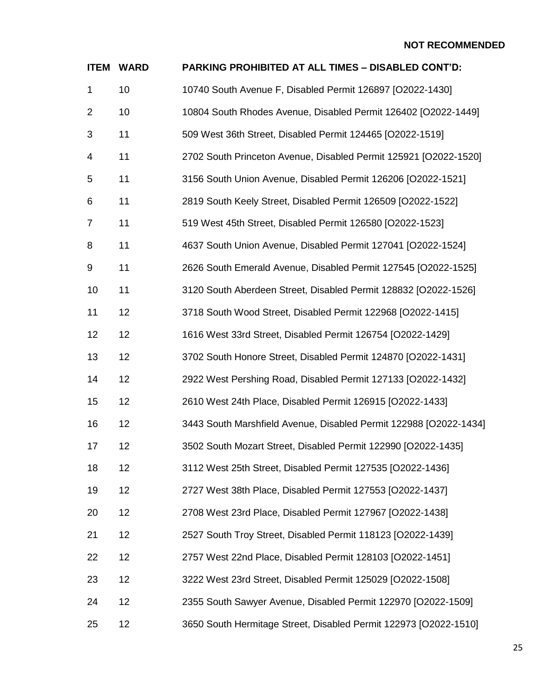| <b>ITEM</b>    | <b>WARD</b> | <b>PARKING PROHIBITED AT ALL TIMES - DISABLED CONT'D:</b>         |
|----------------|-------------|-------------------------------------------------------------------|
| $\mathbf{1}$   | 10          | 10740 South Avenue F, Disabled Permit 126897 [O2022-1430]         |
| $\overline{2}$ | 10          | 10804 South Rhodes Avenue, Disabled Permit 126402 [O2022-1449]    |
| 3              | 11          | 509 West 36th Street, Disabled Permit 124465 [O2022-1519]         |
| 4              | 11          | 2702 South Princeton Avenue, Disabled Permit 125921 [O2022-1520]  |
| 5              | 11          | 3156 South Union Avenue, Disabled Permit 126206 [O2022-1521]      |
| 6              | 11          | 2819 South Keely Street, Disabled Permit 126509 [O2022-1522]      |
| $\overline{7}$ | 11          | 519 West 45th Street, Disabled Permit 126580 [O2022-1523]         |
| 8              | 11          | 4637 South Union Avenue, Disabled Permit 127041 [O2022-1524]      |
| 9              | 11          | 2626 South Emerald Avenue, Disabled Permit 127545 [O2022-1525]    |
| 10             | 11          | 3120 South Aberdeen Street, Disabled Permit 128832 [O2022-1526]   |
| 11             | 12          | 3718 South Wood Street, Disabled Permit 122968 [O2022-1415]       |
| 12             | 12          | 1616 West 33rd Street, Disabled Permit 126754 [O2022-1429]        |
| 13             | 12          | 3702 South Honore Street, Disabled Permit 124870 [O2022-1431]     |
| 14             | 12          | 2922 West Pershing Road, Disabled Permit 127133 [O2022-1432]      |
| 15             | 12          | 2610 West 24th Place, Disabled Permit 126915 [O2022-1433]         |
| 16             | 12          | 3443 South Marshfield Avenue, Disabled Permit 122988 [O2022-1434] |
| 17             | 12          | 3502 South Mozart Street, Disabled Permit 122990 [O2022-1435]     |
| 18             | 12          | 3112 West 25th Street, Disabled Permit 127535 [O2022-1436]        |
| 19             | 12          | 2727 West 38th Place, Disabled Permit 127553 [O2022-1437]         |
| 20             | 12          | 2708 West 23rd Place, Disabled Permit 127967 [O2022-1438]         |
| 21             | 12          | 2527 South Troy Street, Disabled Permit 118123 [O2022-1439]       |
| 22             | 12          | 2757 West 22nd Place, Disabled Permit 128103 [O2022-1451]         |
| 23             | 12          | 3222 West 23rd Street, Disabled Permit 125029 [O2022-1508]        |
| 24             | 12          | 2355 South Sawyer Avenue, Disabled Permit 122970 [O2022-1509]     |
| 25             | 12          | 3650 South Hermitage Street, Disabled Permit 122973 [O2022-1510]  |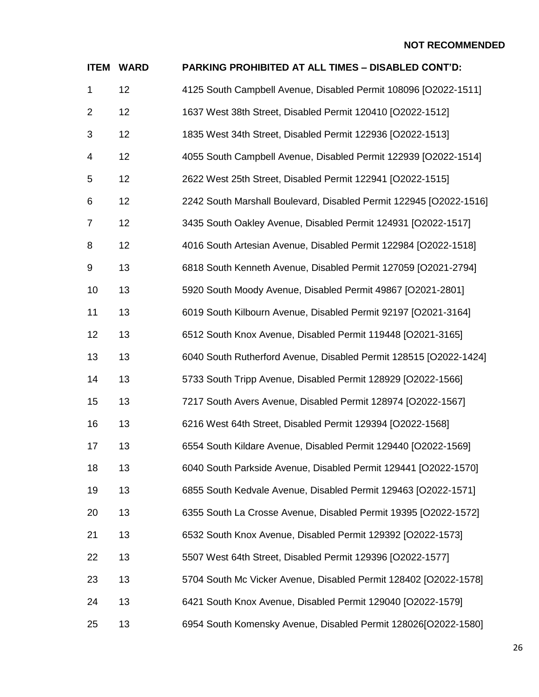| <b>ITEM</b>    | <b>WARD</b> | PARKING PROHIBITED AT ALL TIMES - DISABLED CONT'D:                 |
|----------------|-------------|--------------------------------------------------------------------|
| $\mathbf{1}$   | 12          | 4125 South Campbell Avenue, Disabled Permit 108096 [O2022-1511]    |
| $\overline{2}$ | 12          | 1637 West 38th Street, Disabled Permit 120410 [O2022-1512]         |
| 3              | 12          | 1835 West 34th Street, Disabled Permit 122936 [O2022-1513]         |
| 4              | 12          | 4055 South Campbell Avenue, Disabled Permit 122939 [O2022-1514]    |
| 5              | 12          | 2622 West 25th Street, Disabled Permit 122941 [O2022-1515]         |
| 6              | 12          | 2242 South Marshall Boulevard, Disabled Permit 122945 [O2022-1516] |
| 7              | 12          | 3435 South Oakley Avenue, Disabled Permit 124931 [O2022-1517]      |
| 8              | 12          | 4016 South Artesian Avenue, Disabled Permit 122984 [O2022-1518]    |
| 9              | 13          | 6818 South Kenneth Avenue, Disabled Permit 127059 [O2021-2794]     |
| 10             | 13          | 5920 South Moody Avenue, Disabled Permit 49867 [O2021-2801]        |
| 11             | 13          | 6019 South Kilbourn Avenue, Disabled Permit 92197 [O2021-3164]     |
| 12             | 13          | 6512 South Knox Avenue, Disabled Permit 119448 [O2021-3165]        |
| 13             | 13          | 6040 South Rutherford Avenue, Disabled Permit 128515 [O2022-1424]  |
| 14             | 13          | 5733 South Tripp Avenue, Disabled Permit 128929 [O2022-1566]       |
| 15             | 13          | 7217 South Avers Avenue, Disabled Permit 128974 [O2022-1567]       |
| 16             | 13          | 6216 West 64th Street, Disabled Permit 129394 [O2022-1568]         |
| 17             | 13          | 6554 South Kildare Avenue, Disabled Permit 129440 [O2022-1569]     |
| 18             | 13          | 6040 South Parkside Avenue, Disabled Permit 129441 [O2022-1570]    |
| 19             | 13          | 6855 South Kedvale Avenue, Disabled Permit 129463 [O2022-1571]     |
| 20             | 13          | 6355 South La Crosse Avenue, Disabled Permit 19395 [O2022-1572]    |
| 21             | 13          | 6532 South Knox Avenue, Disabled Permit 129392 [O2022-1573]        |
| 22             | 13          | 5507 West 64th Street, Disabled Permit 129396 [O2022-1577]         |
| 23             | 13          | 5704 South Mc Vicker Avenue, Disabled Permit 128402 [O2022-1578]   |
| 24             | 13          | 6421 South Knox Avenue, Disabled Permit 129040 [O2022-1579]        |
| 25             | 13          | 6954 South Komensky Avenue, Disabled Permit 128026[O2022-1580]     |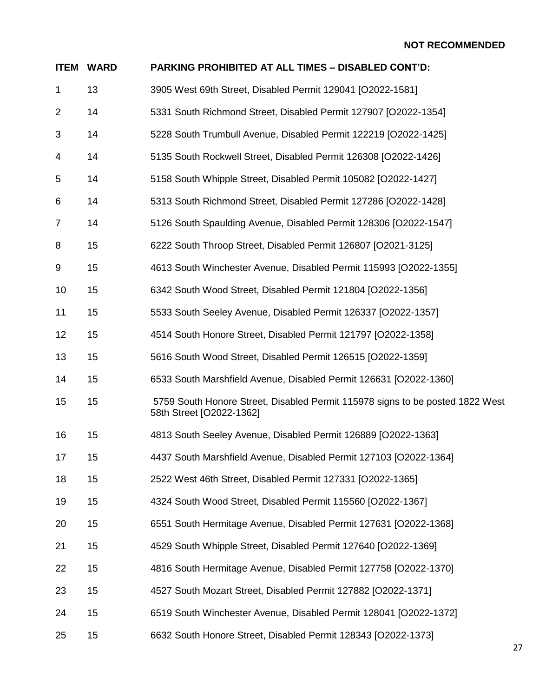| <b>ITEM</b>    | <b>WARD</b> | <b>PARKING PROHIBITED AT ALL TIMES - DISABLED CONT'D:</b>                                                 |
|----------------|-------------|-----------------------------------------------------------------------------------------------------------|
| 1              | 13          | 3905 West 69th Street, Disabled Permit 129041 [O2022-1581]                                                |
| $\overline{2}$ | 14          | 5331 South Richmond Street, Disabled Permit 127907 [O2022-1354]                                           |
| 3              | 14          | 5228 South Trumbull Avenue, Disabled Permit 122219 [O2022-1425]                                           |
| 4              | 14          | 5135 South Rockwell Street, Disabled Permit 126308 [O2022-1426]                                           |
| 5              | 14          | 5158 South Whipple Street, Disabled Permit 105082 [O2022-1427]                                            |
| 6              | 14          | 5313 South Richmond Street, Disabled Permit 127286 [O2022-1428]                                           |
| 7              | 14          | 5126 South Spaulding Avenue, Disabled Permit 128306 [O2022-1547]                                          |
| 8              | 15          | 6222 South Throop Street, Disabled Permit 126807 [O2021-3125]                                             |
| 9              | 15          | 4613 South Winchester Avenue, Disabled Permit 115993 [O2022-1355]                                         |
| 10             | 15          | 6342 South Wood Street, Disabled Permit 121804 [O2022-1356]                                               |
| 11             | 15          | 5533 South Seeley Avenue, Disabled Permit 126337 [O2022-1357]                                             |
| 12             | 15          | 4514 South Honore Street, Disabled Permit 121797 [O2022-1358]                                             |
| 13             | 15          | 5616 South Wood Street, Disabled Permit 126515 [O2022-1359]                                               |
| 14             | 15          | 6533 South Marshfield Avenue, Disabled Permit 126631 [O2022-1360]                                         |
| 15             | 15          | 5759 South Honore Street, Disabled Permit 115978 signs to be posted 1822 West<br>58th Street [O2022-1362] |
| 16             | 15          | 4813 South Seeley Avenue, Disabled Permit 126889 [O2022-1363]                                             |
| 17             | 15          | 4437 South Marshfield Avenue, Disabled Permit 127103 [O2022-1364]                                         |
| 18             | 15          | 2522 West 46th Street, Disabled Permit 127331 [O2022-1365]                                                |
| 19             | 15          | 4324 South Wood Street, Disabled Permit 115560 [O2022-1367]                                               |
| 20             | 15          | 6551 South Hermitage Avenue, Disabled Permit 127631 [O2022-1368]                                          |
| 21             | 15          | 4529 South Whipple Street, Disabled Permit 127640 [O2022-1369]                                            |
| 22             | 15          | 4816 South Hermitage Avenue, Disabled Permit 127758 [O2022-1370]                                          |
| 23             | 15          | 4527 South Mozart Street, Disabled Permit 127882 [O2022-1371]                                             |
| 24             | 15          | 6519 South Winchester Avenue, Disabled Permit 128041 [O2022-1372]                                         |
| 25             | 15          | 6632 South Honore Street, Disabled Permit 128343 [O2022-1373]                                             |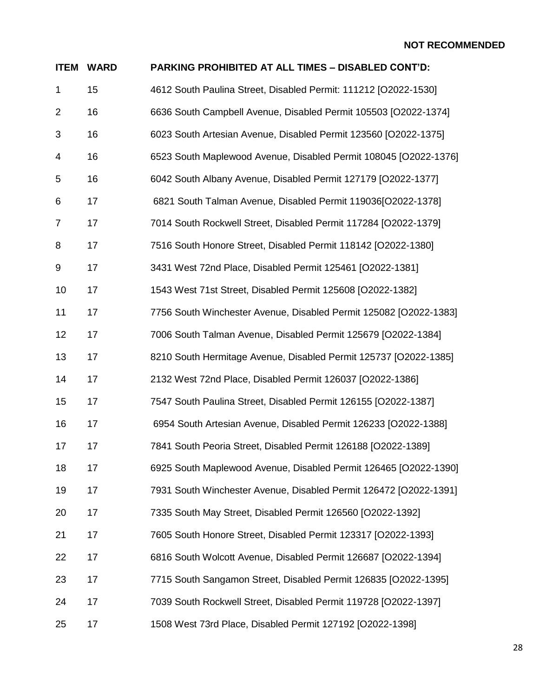| <b>ITEM</b>    | <b>WARD</b> | PARKING PROHIBITED AT ALL TIMES - DISABLED CONT'D:                |
|----------------|-------------|-------------------------------------------------------------------|
| $\mathbf{1}$   | 15          | 4612 South Paulina Street, Disabled Permit: 111212 [O2022-1530]   |
| $\overline{2}$ | 16          | 6636 South Campbell Avenue, Disabled Permit 105503 [O2022-1374]   |
| 3              | 16          | 6023 South Artesian Avenue, Disabled Permit 123560 [O2022-1375]   |
| 4              | 16          | 6523 South Maplewood Avenue, Disabled Permit 108045 [O2022-1376]  |
| 5              | 16          | 6042 South Albany Avenue, Disabled Permit 127179 [O2022-1377]     |
| 6              | 17          | 6821 South Talman Avenue, Disabled Permit 119036[O2022-1378]      |
| $\overline{7}$ | 17          | 7014 South Rockwell Street, Disabled Permit 117284 [O2022-1379]   |
| 8              | 17          | 7516 South Honore Street, Disabled Permit 118142 [O2022-1380]     |
| 9              | 17          | 3431 West 72nd Place, Disabled Permit 125461 [O2022-1381]         |
| 10             | 17          | 1543 West 71st Street, Disabled Permit 125608 [O2022-1382]        |
| 11             | 17          | 7756 South Winchester Avenue, Disabled Permit 125082 [O2022-1383] |
| 12             | 17          | 7006 South Talman Avenue, Disabled Permit 125679 [O2022-1384]     |
| 13             | 17          | 8210 South Hermitage Avenue, Disabled Permit 125737 [O2022-1385]  |
| 14             | 17          | 2132 West 72nd Place, Disabled Permit 126037 [O2022-1386]         |
| 15             | 17          | 7547 South Paulina Street, Disabled Permit 126155 [O2022-1387]    |
| 16             | 17          | 6954 South Artesian Avenue, Disabled Permit 126233 [O2022-1388]   |
| 17             | 17          | 7841 South Peoria Street, Disabled Permit 126188 [O2022-1389]     |
| 18             | 17          | 6925 South Maplewood Avenue, Disabled Permit 126465 [O2022-1390]  |
| 19             | 17          | 7931 South Winchester Avenue, Disabled Permit 126472 [O2022-1391] |
| 20             | 17          | 7335 South May Street, Disabled Permit 126560 [O2022-1392]        |
| 21             | 17          | 7605 South Honore Street, Disabled Permit 123317 [O2022-1393]     |
| 22             | 17          | 6816 South Wolcott Avenue, Disabled Permit 126687 [O2022-1394]    |
| 23             | 17          | 7715 South Sangamon Street, Disabled Permit 126835 [O2022-1395]   |
| 24             | 17          | 7039 South Rockwell Street, Disabled Permit 119728 [O2022-1397]   |
| 25             | 17          | 1508 West 73rd Place, Disabled Permit 127192 [O2022-1398]         |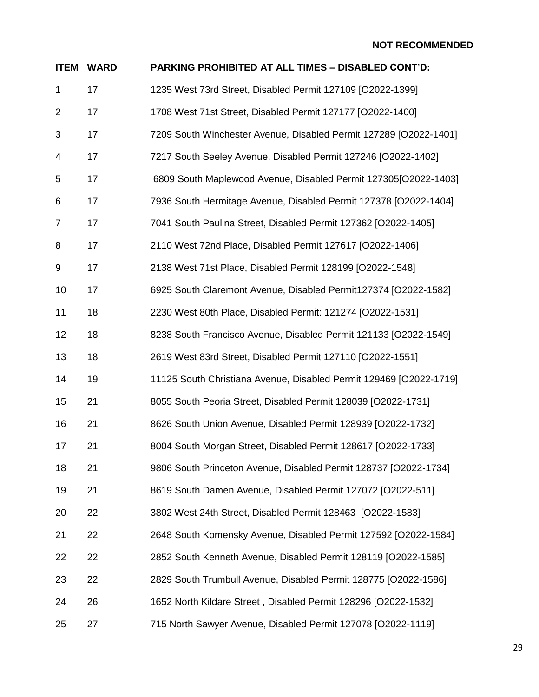| <b>ITEM</b>    | <b>WARD</b> | PARKING PROHIBITED AT ALL TIMES - DISABLED CONT'D:                 |
|----------------|-------------|--------------------------------------------------------------------|
| $\mathbf{1}$   | 17          | 1235 West 73rd Street, Disabled Permit 127109 [O2022-1399]         |
| 2              | 17          | 1708 West 71st Street, Disabled Permit 127177 [O2022-1400]         |
| 3              | 17          | 7209 South Winchester Avenue, Disabled Permit 127289 [O2022-1401]  |
| 4              | 17          | 7217 South Seeley Avenue, Disabled Permit 127246 [O2022-1402]      |
| 5              | 17          | 6809 South Maplewood Avenue, Disabled Permit 127305[O2022-1403]    |
| 6              | 17          | 7936 South Hermitage Avenue, Disabled Permit 127378 [O2022-1404]   |
| $\overline{7}$ | 17          | 7041 South Paulina Street, Disabled Permit 127362 [O2022-1405]     |
| 8              | 17          | 2110 West 72nd Place, Disabled Permit 127617 [O2022-1406]          |
| 9              | 17          | 2138 West 71st Place, Disabled Permit 128199 [O2022-1548]          |
| 10             | 17          | 6925 South Claremont Avenue, Disabled Permit127374 [O2022-1582]    |
| 11             | 18          | 2230 West 80th Place, Disabled Permit: 121274 [O2022-1531]         |
| 12             | 18          | 8238 South Francisco Avenue, Disabled Permit 121133 [O2022-1549]   |
| 13             | 18          | 2619 West 83rd Street, Disabled Permit 127110 [O2022-1551]         |
| 14             | 19          | 11125 South Christiana Avenue, Disabled Permit 129469 [O2022-1719] |
| 15             | 21          | 8055 South Peoria Street, Disabled Permit 128039 [O2022-1731]      |
| 16             | 21          | 8626 South Union Avenue, Disabled Permit 128939 [O2022-1732]       |
| 17             | 21          | 8004 South Morgan Street, Disabled Permit 128617 [O2022-1733]      |
| 18             | 21          | 9806 South Princeton Avenue, Disabled Permit 128737 [O2022-1734]   |
| 19             | 21          | 8619 South Damen Avenue, Disabled Permit 127072 [O2022-511]        |
| 20             | 22          | 3802 West 24th Street, Disabled Permit 128463 [O2022-1583]         |
| 21             | 22          | 2648 South Komensky Avenue, Disabled Permit 127592 [O2022-1584]    |
| 22             | 22          | 2852 South Kenneth Avenue, Disabled Permit 128119 [O2022-1585]     |
| 23             | 22          | 2829 South Trumbull Avenue, Disabled Permit 128775 [O2022-1586]    |
| 24             | 26          | 1652 North Kildare Street, Disabled Permit 128296 [O2022-1532]     |
| 25             | 27          | 715 North Sawyer Avenue, Disabled Permit 127078 [O2022-1119]       |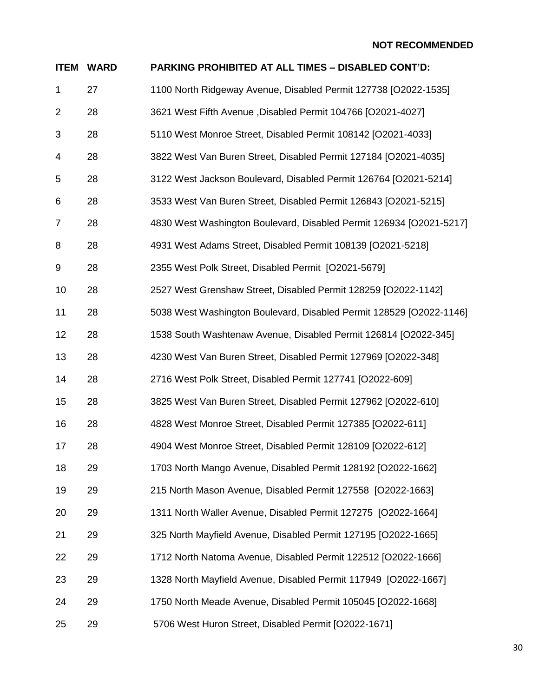| <b>ITEM</b>    | <b>WARD</b> | PARKING PROHIBITED AT ALL TIMES - DISABLED CONT'D:                  |
|----------------|-------------|---------------------------------------------------------------------|
| $\mathbf 1$    | 27          | 1100 North Ridgeway Avenue, Disabled Permit 127738 [O2022-1535]     |
| $\overline{2}$ | 28          | 3621 West Fifth Avenue , Disabled Permit 104766 [O2021-4027]        |
| 3              | 28          | 5110 West Monroe Street, Disabled Permit 108142 [O2021-4033]        |
| 4              | 28          | 3822 West Van Buren Street, Disabled Permit 127184 [O2021-4035]     |
| 5              | 28          | 3122 West Jackson Boulevard, Disabled Permit 126764 [O2021-5214]    |
| 6              | 28          | 3533 West Van Buren Street, Disabled Permit 126843 [O2021-5215]     |
| $\overline{7}$ | 28          | 4830 West Washington Boulevard, Disabled Permit 126934 [O2021-5217] |
| 8              | 28          | 4931 West Adams Street, Disabled Permit 108139 [O2021-5218]         |
| 9              | 28          | 2355 West Polk Street, Disabled Permit [O2021-5679]                 |
| 10             | 28          | 2527 West Grenshaw Street, Disabled Permit 128259 [O2022-1142]      |
| 11             | 28          | 5038 West Washington Boulevard, Disabled Permit 128529 [O2022-1146] |
| 12             | 28          | 1538 South Washtenaw Avenue, Disabled Permit 126814 [O2022-345]     |
| 13             | 28          | 4230 West Van Buren Street, Disabled Permit 127969 [O2022-348]      |
| 14             | 28          | 2716 West Polk Street, Disabled Permit 127741 [O2022-609]           |
| 15             | 28          | 3825 West Van Buren Street, Disabled Permit 127962 [O2022-610]      |
| 16             | 28          | 4828 West Monroe Street, Disabled Permit 127385 [O2022-611]         |
| 17             | 28          | 4904 West Monroe Street, Disabled Permit 128109 [O2022-612]         |
| 18             | 29          | 1703 North Mango Avenue, Disabled Permit 128192 [O2022-1662]        |
| 19             | 29          | 215 North Mason Avenue, Disabled Permit 127558 [O2022-1663]         |
| 20             | 29          | 1311 North Waller Avenue, Disabled Permit 127275 [O2022-1664]       |
| 21             | 29          | 325 North Mayfield Avenue, Disabled Permit 127195 [O2022-1665]      |
| 22             | 29          | 1712 North Natoma Avenue, Disabled Permit 122512 [O2022-1666]       |
| 23             | 29          | 1328 North Mayfield Avenue, Disabled Permit 117949 [O2022-1667]     |
| 24             | 29          | 1750 North Meade Avenue, Disabled Permit 105045 [O2022-1668]        |
| 25             | 29          | 5706 West Huron Street, Disabled Permit [O2022-1671]                |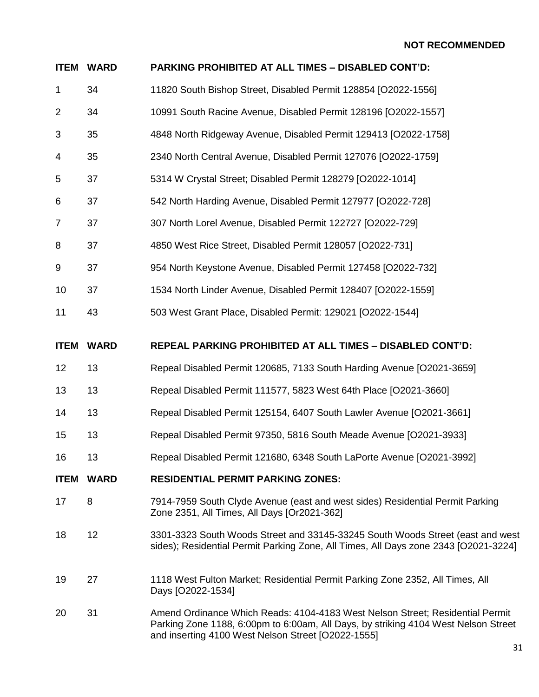|                | <b>ITEM WARD</b> | PARKING PROHIBITED AT ALL TIMES - DISABLED CONT'D:                                                                                                                                                                        |
|----------------|------------------|---------------------------------------------------------------------------------------------------------------------------------------------------------------------------------------------------------------------------|
| $\mathbf 1$    | 34               | 11820 South Bishop Street, Disabled Permit 128854 [O2022-1556]                                                                                                                                                            |
| $\overline{2}$ | 34               | 10991 South Racine Avenue, Disabled Permit 128196 [O2022-1557]                                                                                                                                                            |
| 3              | 35               | 4848 North Ridgeway Avenue, Disabled Permit 129413 [O2022-1758]                                                                                                                                                           |
| 4              | 35               | 2340 North Central Avenue, Disabled Permit 127076 [O2022-1759]                                                                                                                                                            |
| 5              | 37               | 5314 W Crystal Street; Disabled Permit 128279 [O2022-1014]                                                                                                                                                                |
| 6              | 37               | 542 North Harding Avenue, Disabled Permit 127977 [O2022-728]                                                                                                                                                              |
| $\overline{7}$ | 37               | 307 North Lorel Avenue, Disabled Permit 122727 [O2022-729]                                                                                                                                                                |
| 8              | 37               | 4850 West Rice Street, Disabled Permit 128057 [O2022-731]                                                                                                                                                                 |
| 9              | 37               | 954 North Keystone Avenue, Disabled Permit 127458 [O2022-732]                                                                                                                                                             |
| 10             | 37               | 1534 North Linder Avenue, Disabled Permit 128407 [O2022-1559]                                                                                                                                                             |
| 11             | 43               | 503 West Grant Place, Disabled Permit: 129021 [O2022-1544]                                                                                                                                                                |
| <b>ITEM</b>    | <b>WARD</b>      | <b>REPEAL PARKING PROHIBITED AT ALL TIMES - DISABLED CONT'D:</b>                                                                                                                                                          |
| 12             | 13               | Repeal Disabled Permit 120685, 7133 South Harding Avenue [O2021-3659]                                                                                                                                                     |
| 13             | 13               | Repeal Disabled Permit 111577, 5823 West 64th Place [O2021-3660]                                                                                                                                                          |
| 14             | 13               | Repeal Disabled Permit 125154, 6407 South Lawler Avenue [O2021-3661]                                                                                                                                                      |
| 15             | 13               | Repeal Disabled Permit 97350, 5816 South Meade Avenue [O2021-3933]                                                                                                                                                        |
| 16             | 13               | Repeal Disabled Permit 121680, 6348 South LaPorte Avenue [O2021-3992]                                                                                                                                                     |
| <b>ITEM</b>    | <b>WARD</b>      | <b>RESIDENTIAL PERMIT PARKING ZONES:</b>                                                                                                                                                                                  |
| 17             | 8                | 7914-7959 South Clyde Avenue (east and west sides) Residential Permit Parking<br>Zone 2351, All Times, All Days [Or2021-362]                                                                                              |
| 18             | 12               | 3301-3323 South Woods Street and 33145-33245 South Woods Street (east and west<br>sides); Residential Permit Parking Zone, All Times, All Days zone 2343 [O2021-3224]                                                     |
| 19             | 27               | 1118 West Fulton Market; Residential Permit Parking Zone 2352, All Times, All<br>Days [O2022-1534]                                                                                                                        |
| 20             | 31               | Amend Ordinance Which Reads: 4104-4183 West Nelson Street; Residential Permit<br>Parking Zone 1188, 6:00pm to 6:00am, All Days, by striking 4104 West Nelson Street<br>and inserting 4100 West Nelson Street [O2022-1555] |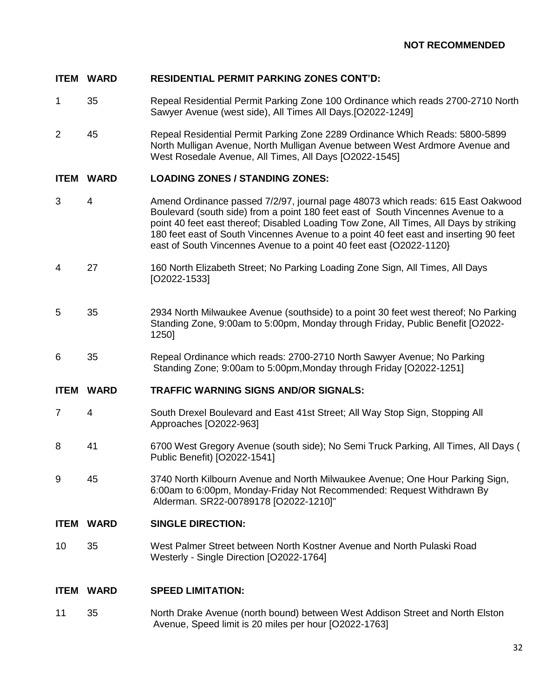## **ITEM WARD RESIDENTIAL PERMIT PARKING ZONES CONT'D:**

- 1 35 Repeal Residential Permit Parking Zone 100 Ordinance which reads 2700-2710 North Sawyer Avenue (west side), All Times All Days.[O2022-1249]
- 2 45 Repeal Residential Permit Parking Zone 2289 Ordinance Which Reads: 5800-5899 North Mulligan Avenue, North Mulligan Avenue between West Ardmore Avenue and West Rosedale Avenue, All Times, All Days [O2022-1545]

## **ITEM WARD LOADING ZONES / STANDING ZONES:**

- 3 4 Amend Ordinance passed 7/2/97, journal page 48073 which reads: 615 East Oakwood Boulevard (south side) from a point 180 feet east of South Vincennes Avenue to a point 40 feet east thereof; Disabled Loading Tow Zone, All Times, All Days by striking 180 feet east of South Vincennes Avenue to a point 40 feet east and inserting 90 feet east of South Vincennes Avenue to a point 40 feet east {O2022-1120}
- 4 27 160 North Elizabeth Street; No Parking Loading Zone Sign, All Times, All Days [O2022-1533]
- 5 35 2934 North Milwaukee Avenue (southside) to a point 30 feet west thereof; No Parking Standing Zone, 9:00am to 5:00pm, Monday through Friday, Public Benefit [O2022- 1250]
- 6 35 Repeal Ordinance which reads: 2700-2710 North Sawyer Avenue; No Parking Standing Zone; 9:00am to 5:00pm,Monday through Friday [O2022-1251]

#### **ITEM WARD TRAFFIC WARNING SIGNS AND/OR SIGNALS:**

- 7 4 South Drexel Boulevard and East 41st Street; All Way Stop Sign, Stopping All Approaches [O2022-963]
- 8 41 6700 West Gregory Avenue (south side); No Semi Truck Parking, All Times, All Days ( Public Benefit) [O2022-1541]
- 9 45 3740 North Kilbourn Avenue and North Milwaukee Avenue; One Hour Parking Sign, 6:00am to 6:00pm, Monday-Friday Not Recommended: Request Withdrawn By Alderman. SR22-00789178 [O2022-1210]"

#### **ITEM WARD SINGLE DIRECTION:**

10 35 West Palmer Street between North Kostner Avenue and North Pulaski Road Westerly - Single Direction [O2022-1764]

#### **ITEM WARD SPEED LIMITATION:**

11 35 North Drake Avenue (north bound) between West Addison Street and North Elston Avenue, Speed limit is 20 miles per hour [O2022-1763]